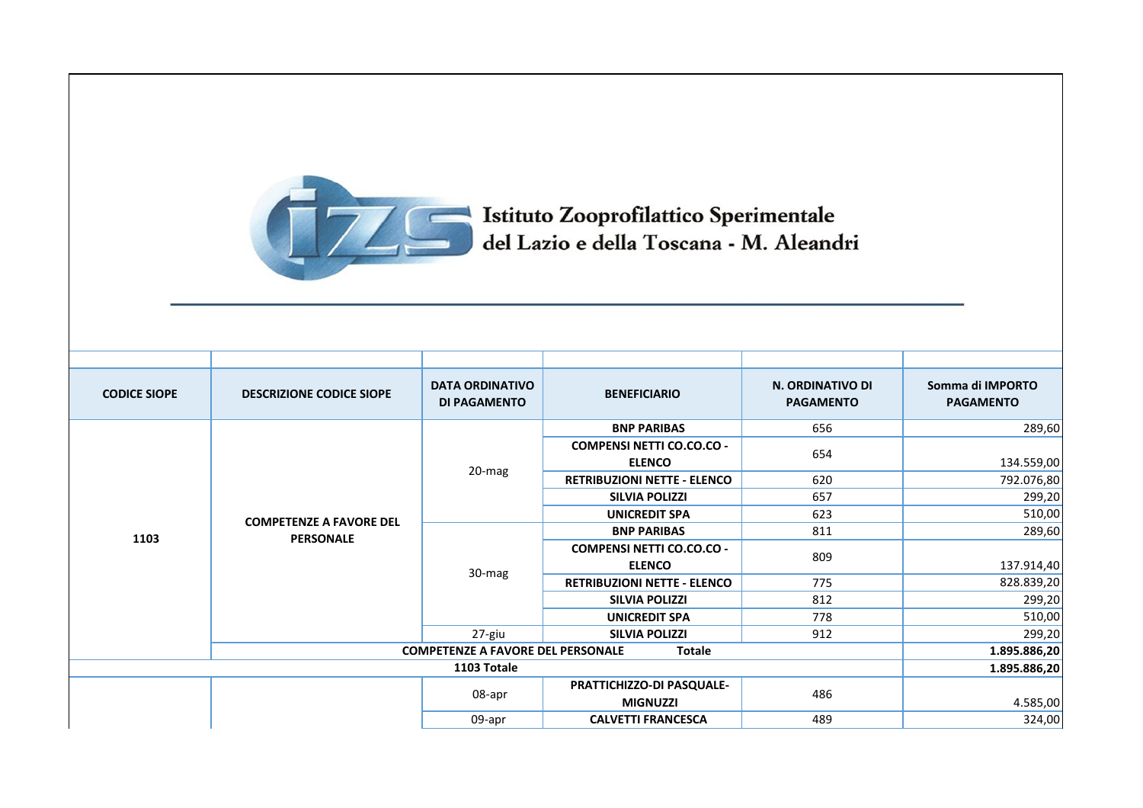

Istituto Zooprofilattico Sperimentale<br>del Lazio e della Toscana - M. Aleandri

| <b>CODICE SIOPE</b>                                       | <b>DESCRIZIONE CODICE SIOPE</b>                    | <b>DATA ORDINATIVO</b><br><b>DI PAGAMENTO</b> | <b>BENEFICIARIO</b>                | N. ORDINATIVO DI<br><b>PAGAMENTO</b> | Somma di IMPORTO<br><b>PAGAMENTO</b> |
|-----------------------------------------------------------|----------------------------------------------------|-----------------------------------------------|------------------------------------|--------------------------------------|--------------------------------------|
|                                                           |                                                    |                                               | <b>BNP PARIBAS</b>                 | 656                                  | 289,60                               |
|                                                           |                                                    |                                               | <b>COMPENSI NETTI CO.CO.CO -</b>   | 654                                  |                                      |
|                                                           |                                                    | 20-mag                                        | <b>ELENCO</b>                      |                                      | 134.559,00                           |
|                                                           |                                                    |                                               | <b>RETRIBUZIONI NETTE - ELENCO</b> | 620                                  | 792.076,80                           |
|                                                           | <b>COMPETENZE A FAVORE DEL</b><br><b>PERSONALE</b> |                                               | <b>SILVIA POLIZZI</b>              | 657                                  | 299,20                               |
| 1103                                                      |                                                    |                                               | <b>UNICREDIT SPA</b>               | 623                                  | 510,00                               |
|                                                           |                                                    |                                               | <b>BNP PARIBAS</b>                 | 811                                  | 289,60                               |
|                                                           |                                                    | 30-mag                                        | <b>COMPENSI NETTI CO.CO.CO -</b>   | 809                                  |                                      |
|                                                           |                                                    |                                               | <b>ELENCO</b>                      |                                      | 137.914,40                           |
|                                                           |                                                    |                                               | <b>RETRIBUZIONI NETTE - ELENCO</b> | 775                                  | 828.839,20                           |
|                                                           |                                                    |                                               | <b>SILVIA POLIZZI</b>              | 812                                  | 299,20                               |
|                                                           |                                                    |                                               | <b>UNICREDIT SPA</b>               | 778                                  | 510,00                               |
|                                                           |                                                    | 27-giu                                        | <b>SILVIA POLIZZI</b>              | 912                                  | 299,20                               |
| <b>COMPETENZE A FAVORE DEL PERSONALE</b><br><b>Totale</b> |                                                    |                                               |                                    | 1.895.886,20                         |                                      |
| 1103 Totale                                               |                                                    |                                               |                                    | 1.895.886,20                         |                                      |
|                                                           |                                                    | 08-apr                                        | PRATTICHIZZO-DI PASQUALE-          | 486                                  |                                      |
|                                                           |                                                    |                                               | <b>MIGNUZZI</b>                    |                                      | 4.585,00                             |
|                                                           |                                                    | 09-apr                                        | <b>CALVETTI FRANCESCA</b>          | 489                                  | 324,00                               |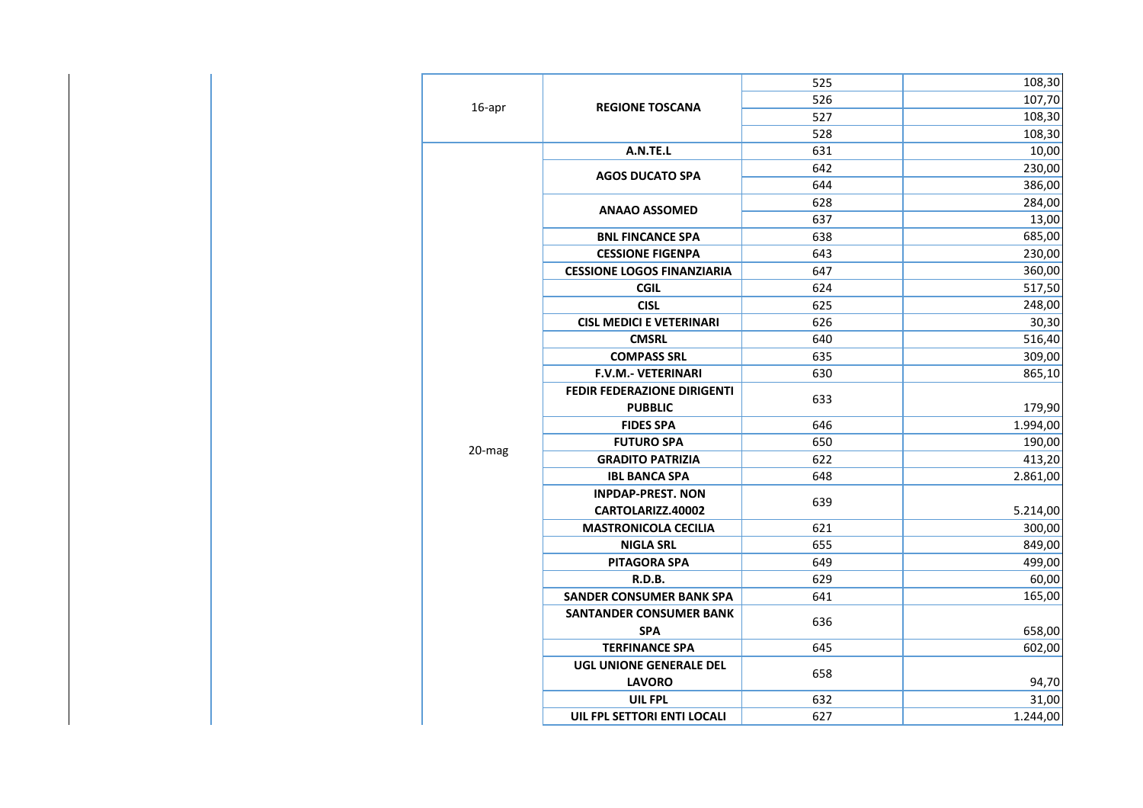|        |                                   | 525 | 108,30   |
|--------|-----------------------------------|-----|----------|
| 16-apr | <b>REGIONE TOSCANA</b>            | 526 | 107,70   |
|        |                                   | 527 | 108,30   |
|        |                                   | 528 | 108,30   |
|        | A.N.TE.L                          | 631 | 10,00    |
|        | <b>AGOS DUCATO SPA</b>            | 642 | 230,00   |
|        |                                   | 644 | 386,00   |
|        | <b>ANAAO ASSOMED</b>              | 628 | 284,00   |
|        |                                   | 637 | 13,00    |
|        | <b>BNL FINCANCE SPA</b>           | 638 | 685,00   |
|        | <b>CESSIONE FIGENPA</b>           | 643 | 230,00   |
|        | <b>CESSIONE LOGOS FINANZIARIA</b> | 647 | 360,00   |
|        | <b>CGIL</b>                       | 624 | 517,50   |
|        | <b>CISL</b>                       | 625 | 248,00   |
|        | <b>CISL MEDICI E VETERINARI</b>   | 626 | 30,30    |
|        | <b>CMSRL</b>                      | 640 | 516,40   |
|        | <b>COMPASS SRL</b>                | 635 | 309,00   |
|        | F.V.M.- VETERINARI                | 630 | 865,10   |
|        | FEDIR FEDERAZIONE DIRIGENTI       | 633 |          |
|        | <b>PUBBLIC</b>                    |     | 179,90   |
|        | <b>FIDES SPA</b>                  | 646 | 1.994,00 |
| 20-mag | <b>FUTURO SPA</b>                 | 650 | 190,00   |
|        | <b>GRADITO PATRIZIA</b>           | 622 | 413,20   |
|        | <b>IBL BANCA SPA</b>              | 648 | 2.861,00 |
|        | <b>INPDAP-PREST. NON</b>          |     |          |
|        | CARTOLARIZZ.40002                 | 639 | 5.214,00 |
|        | <b>MASTRONICOLA CECILIA</b>       | 621 | 300,00   |
|        | <b>NIGLA SRL</b>                  | 655 | 849,00   |
|        | <b>PITAGORA SPA</b>               | 649 | 499,00   |
|        | R.D.B.                            | 629 | 60,00    |
|        | <b>SANDER CONSUMER BANK SPA</b>   | 641 | 165,00   |
|        | <b>SANTANDER CONSUMER BANK</b>    | 636 |          |
|        | <b>SPA</b>                        |     | 658,00   |
|        | <b>TERFINANCE SPA</b>             | 645 | 602,00   |
|        | UGL UNIONE GENERALE DEL           |     |          |
|        | <b>LAVORO</b>                     | 658 | 94,70    |
|        | UIL FPL                           | 632 | 31,00    |
|        | UIL FPL SETTORI ENTI LOCALI       | 627 | 1.244,00 |
|        |                                   |     |          |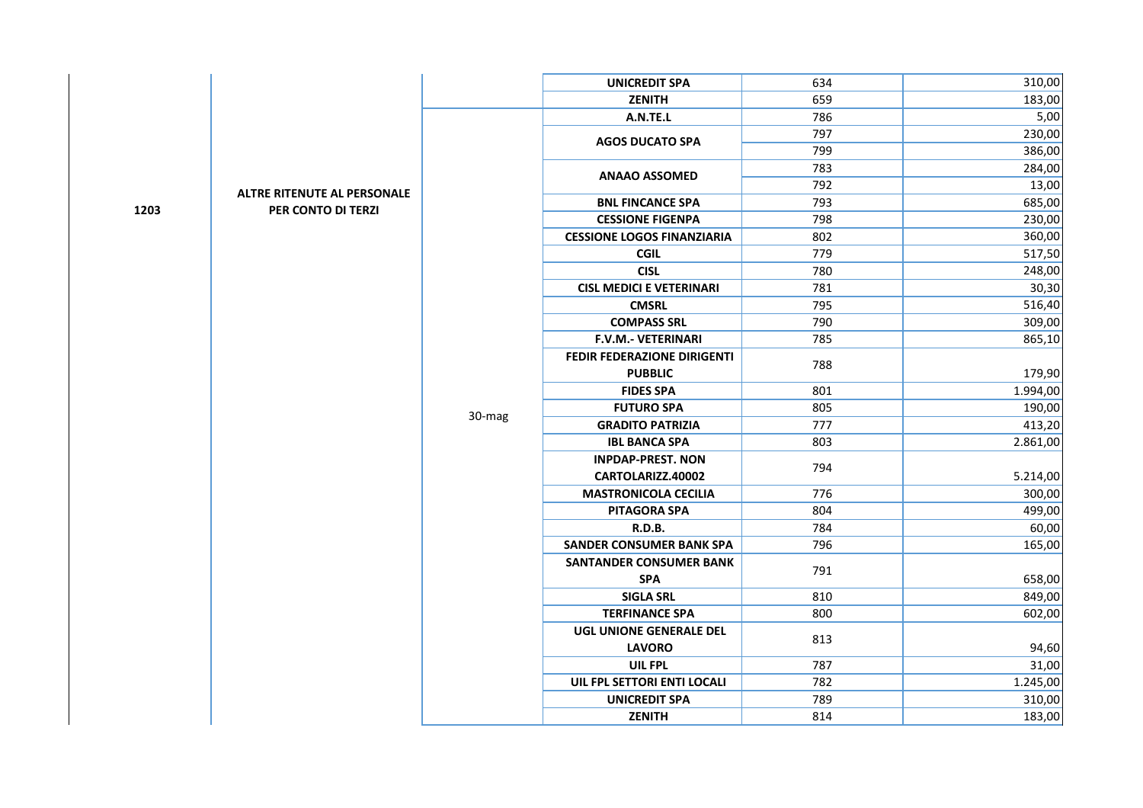|      |                                    |        | <b>UNICREDIT SPA</b>               | 634 | 310,00   |
|------|------------------------------------|--------|------------------------------------|-----|----------|
|      |                                    |        | <b>ZENITH</b>                      | 659 | 183,00   |
|      |                                    |        | A.N.TE.L                           | 786 | $5,00$   |
|      |                                    |        | <b>AGOS DUCATO SPA</b>             | 797 | 230,00   |
|      |                                    |        |                                    | 799 | 386,00   |
|      |                                    |        | <b>ANAAO ASSOMED</b>               | 783 | 284,00   |
|      | <b>ALTRE RITENUTE AL PERSONALE</b> |        |                                    | 792 | 13,00    |
| 1203 | PER CONTO DI TERZI                 |        | <b>BNL FINCANCE SPA</b>            | 793 | 685,00   |
|      |                                    |        | <b>CESSIONE FIGENPA</b>            | 798 | 230,00   |
|      |                                    |        | <b>CESSIONE LOGOS FINANZIARIA</b>  | 802 | 360,00   |
|      |                                    |        | <b>CGIL</b>                        | 779 | 517,50   |
|      |                                    |        | <b>CISL</b>                        | 780 | 248,00   |
|      |                                    |        | <b>CISL MEDICI E VETERINARI</b>    | 781 | 30,30    |
|      |                                    |        | <b>CMSRL</b>                       | 795 | 516,40   |
|      |                                    |        | <b>COMPASS SRL</b>                 | 790 | 309,00   |
|      |                                    |        | <b>F.V.M.- VETERINARI</b>          | 785 | 865,10   |
|      |                                    |        | <b>FEDIR FEDERAZIONE DIRIGENTI</b> | 788 |          |
|      |                                    |        | <b>PUBBLIC</b>                     |     | 179,90   |
|      |                                    | 30-mag | <b>FIDES SPA</b>                   | 801 | 1.994,00 |
|      |                                    |        | <b>FUTURO SPA</b>                  | 805 | 190,00   |
|      |                                    |        | <b>GRADITO PATRIZIA</b>            | 777 | 413,20   |
|      |                                    |        | <b>IBL BANCA SPA</b>               | 803 | 2.861,00 |
|      |                                    |        | <b>INPDAP-PREST. NON</b>           | 794 |          |
|      |                                    |        | CARTOLARIZZ.40002                  |     | 5.214,00 |
|      |                                    |        | <b>MASTRONICOLA CECILIA</b>        | 776 | 300,00   |
|      |                                    |        | <b>PITAGORA SPA</b>                | 804 | 499,00   |
|      |                                    |        | <b>R.D.B.</b>                      | 784 | 60,00    |
|      |                                    |        | <b>SANDER CONSUMER BANK SPA</b>    | 796 | 165,00   |
|      |                                    |        | <b>SANTANDER CONSUMER BANK</b>     | 791 |          |
|      |                                    |        | <b>SPA</b>                         |     | 658,00   |
|      |                                    |        | <b>SIGLA SRL</b>                   | 810 | 849,00   |
|      |                                    |        | <b>TERFINANCE SPA</b>              | 800 | 602,00   |
|      |                                    |        | UGL UNIONE GENERALE DEL            |     |          |
|      |                                    |        | <b>LAVORO</b>                      | 813 | 94,60    |
|      |                                    |        | <b>UIL FPL</b>                     | 787 | 31,00    |
|      |                                    |        | UIL FPL SETTORI ENTI LOCALI        | 782 | 1.245,00 |
|      |                                    |        | <b>UNICREDIT SPA</b>               | 789 | 310,00   |
|      |                                    |        | ZENITH                             | 814 | 183,00   |
|      |                                    |        |                                    |     |          |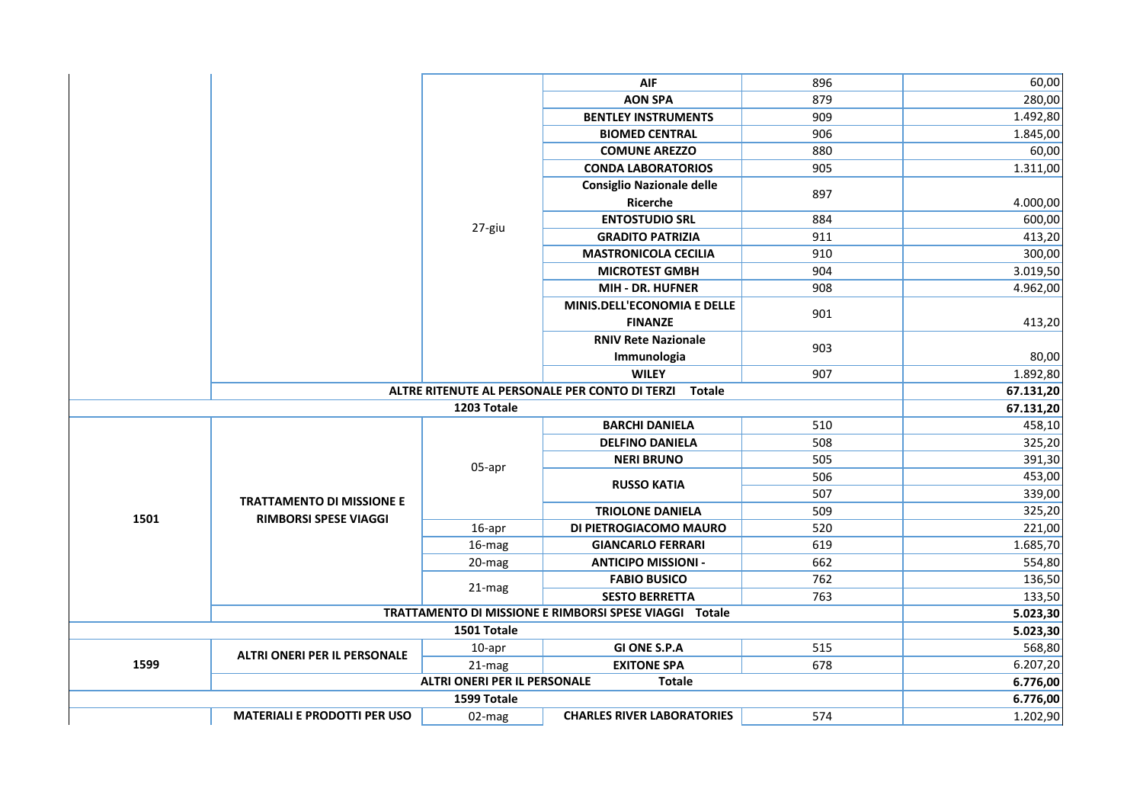|      |                                     |                                     | <b>AIF</b>                                                      | 896 | 60,00     |
|------|-------------------------------------|-------------------------------------|-----------------------------------------------------------------|-----|-----------|
|      |                                     |                                     | <b>AON SPA</b>                                                  | 879 | 280,00    |
|      |                                     |                                     | <b>BENTLEY INSTRUMENTS</b>                                      | 909 | 1.492,80  |
|      |                                     |                                     | <b>BIOMED CENTRAL</b>                                           | 906 | 1.845,00  |
|      |                                     |                                     | <b>COMUNE AREZZO</b>                                            | 880 | 60,00     |
|      |                                     |                                     | <b>CONDA LABORATORIOS</b>                                       | 905 | 1.311,00  |
|      |                                     |                                     | <b>Consiglio Nazionale delle</b>                                |     |           |
|      |                                     |                                     | Ricerche                                                        | 897 | 4.000,00  |
|      |                                     |                                     | <b>ENTOSTUDIO SRL</b>                                           | 884 | 600,00    |
|      |                                     | 27-giu                              | <b>GRADITO PATRIZIA</b>                                         | 911 | 413,20    |
|      |                                     |                                     | <b>MASTRONICOLA CECILIA</b>                                     | 910 | 300,00    |
|      |                                     |                                     | <b>MICROTEST GMBH</b>                                           | 904 | 3.019,50  |
|      |                                     |                                     | MIH - DR. HUFNER                                                | 908 | 4.962,00  |
|      |                                     |                                     | MINIS.DELL'ECONOMIA E DELLE                                     | 901 |           |
|      |                                     |                                     | <b>FINANZE</b>                                                  |     | 413,20    |
|      |                                     | <b>RNIV Rete Nazionale</b>          | 903                                                             |     |           |
|      |                                     |                                     | Immunologia                                                     |     | 80,00     |
|      |                                     |                                     | <b>WILEY</b>                                                    | 907 | 1.892,80  |
|      |                                     |                                     | ALTRE RITENUTE AL PERSONALE PER CONTO DI TERZI<br><b>Totale</b> |     | 67.131,20 |
|      |                                     | 1203 Totale                         |                                                                 |     | 67.131,20 |
|      |                                     |                                     | <b>BARCHI DANIELA</b>                                           | 510 | 458,10    |
|      | <b>TRATTAMENTO DI MISSIONE E</b>    | 05-apr                              | <b>DELFINO DANIELA</b>                                          | 508 | 325,20    |
|      |                                     |                                     | <b>NERI BRUNO</b>                                               | 505 | 391,30    |
|      |                                     |                                     | <b>RUSSO KATIA</b>                                              | 506 | 453,00    |
|      |                                     |                                     |                                                                 | 507 | 339,00    |
| 1501 | <b>RIMBORSI SPESE VIAGGI</b>        |                                     | <b>TRIOLONE DANIELA</b>                                         | 509 | 325,20    |
|      |                                     | 16-apr                              | DI PIETROGIACOMO MAURO                                          | 520 | 221,00    |
|      |                                     | 16-mag                              | <b>GIANCARLO FERRARI</b>                                        | 619 | 1.685,70  |
|      |                                     | 20-mag                              | <b>ANTICIPO MISSIONI -</b>                                      | 662 | 554,80    |
|      |                                     | 21-mag                              | <b>FABIO BUSICO</b>                                             | 762 | 136,50    |
|      |                                     |                                     | <b>SESTO BERRETTA</b>                                           | 763 | 133,50    |
|      |                                     |                                     | TRATTAMENTO DI MISSIONE E RIMBORSI SPESE VIAGGI Totale          |     | 5.023,30  |
|      |                                     | 1501 Totale                         |                                                                 |     | 5.023,30  |
|      | ALTRI ONERI PER IL PERSONALE        | 10-apr                              | <b>GI ONE S.P.A</b>                                             | 515 | 568,80    |
| 1599 |                                     | 21-mag                              | <b>EXITONE SPA</b>                                              | 678 | 6.207,20  |
|      |                                     | <b>ALTRI ONERI PER IL PERSONALE</b> | <b>Totale</b>                                                   |     | 6.776,00  |
|      |                                     | 1599 Totale                         |                                                                 |     | 6.776,00  |
|      | <b>MATERIALI E PRODOTTI PER USO</b> | 02-mag                              | <b>CHARLES RIVER LABORATORIES</b>                               | 574 | 1.202,90  |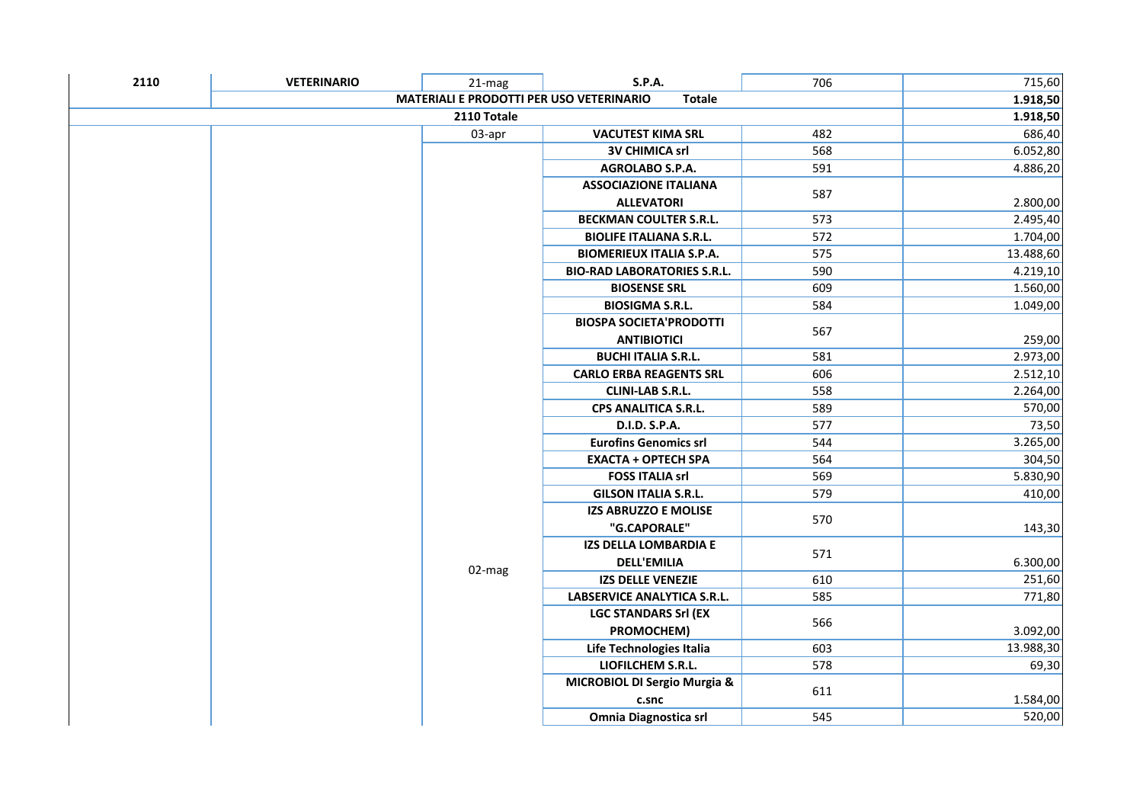| 2110 | <b>VETERINARIO</b>                                               | 21-mag      | <b>S.P.A.</b>                      | 706 | 715,60    |
|------|------------------------------------------------------------------|-------------|------------------------------------|-----|-----------|
|      | <b>MATERIALI E PRODOTTI PER USO VETERINARIO</b><br><b>Totale</b> |             |                                    |     |           |
|      |                                                                  | 2110 Totale |                                    |     | 1.918,50  |
|      |                                                                  | 03-apr      | <b>VACUTEST KIMA SRL</b>           | 482 | 686,40    |
|      |                                                                  |             | <b>3V CHIMICA srl</b>              | 568 | 6.052,80  |
|      |                                                                  |             | AGROLABO S.P.A.                    | 591 | 4.886,20  |
|      |                                                                  |             | <b>ASSOCIAZIONE ITALIANA</b>       |     |           |
|      |                                                                  |             | <b>ALLEVATORI</b>                  | 587 | 2.800,00  |
|      |                                                                  |             | <b>BECKMAN COULTER S.R.L.</b>      | 573 | 2.495,40  |
|      |                                                                  |             | <b>BIOLIFE ITALIANA S.R.L.</b>     | 572 | 1.704,00  |
|      |                                                                  |             | <b>BIOMERIEUX ITALIA S.P.A.</b>    | 575 | 13.488,60 |
|      |                                                                  |             | <b>BIO-RAD LABORATORIES S.R.L.</b> | 590 | 4.219,10  |
|      |                                                                  |             | <b>BIOSENSE SRL</b>                | 609 | 1.560,00  |
|      |                                                                  |             | <b>BIOSIGMA S.R.L.</b>             | 584 | 1.049,00  |
|      |                                                                  |             | <b>BIOSPA SOCIETA'PRODOTTI</b>     |     |           |
|      |                                                                  |             | <b>ANTIBIOTICI</b>                 | 567 | 259,00    |
|      |                                                                  |             | <b>BUCHI ITALIA S.R.L.</b>         | 581 | 2.973,00  |
|      |                                                                  |             | <b>CARLO ERBA REAGENTS SRL</b>     | 606 | 2.512,10  |
|      |                                                                  |             | <b>CLINI-LAB S.R.L.</b>            | 558 | 2.264,00  |
|      |                                                                  |             | CPS ANALITICA S.R.L.               | 589 | 570,00    |
|      |                                                                  |             | D.I.D. S.P.A.                      | 577 | 73,50     |
|      |                                                                  |             | <b>Eurofins Genomics srl</b>       | 544 | 3.265,00  |
|      |                                                                  |             | <b>EXACTA + OPTECH SPA</b>         | 564 | 304,50    |
|      |                                                                  |             | <b>FOSS ITALIA srl</b>             | 569 | 5.830,90  |
|      |                                                                  |             | <b>GILSON ITALIA S.R.L.</b>        | 579 | 410,00    |
|      |                                                                  |             | IZS ABRUZZO E MOLISE               | 570 |           |
|      |                                                                  |             | "G.CAPORALE"                       |     | 143,30    |
|      |                                                                  |             | <b>IZS DELLA LOMBARDIA E</b>       | 571 |           |
|      |                                                                  | 02-mag      | <b>DELL'EMILIA</b>                 |     | 6.300,00  |
|      |                                                                  |             | <b>IZS DELLE VENEZIE</b>           | 610 | 251,60    |
|      |                                                                  |             | LABSERVICE ANALYTICA S.R.L.        | 585 | 771,80    |
|      |                                                                  |             | <b>LGC STANDARS Srl (EX</b>        | 566 |           |
|      |                                                                  |             | PROMOCHEM)                         |     | 3.092,00  |
|      |                                                                  |             | Life Technologies Italia           | 603 | 13.988,30 |
|      |                                                                  |             | LIOFILCHEM S.R.L.                  | 578 | 69,30     |
|      |                                                                  |             | MICROBIOL DI Sergio Murgia &       |     |           |
|      |                                                                  |             | c.snc                              | 611 | 1.584,00  |
|      |                                                                  |             | Omnia Diagnostica srl              | 545 | 520,00    |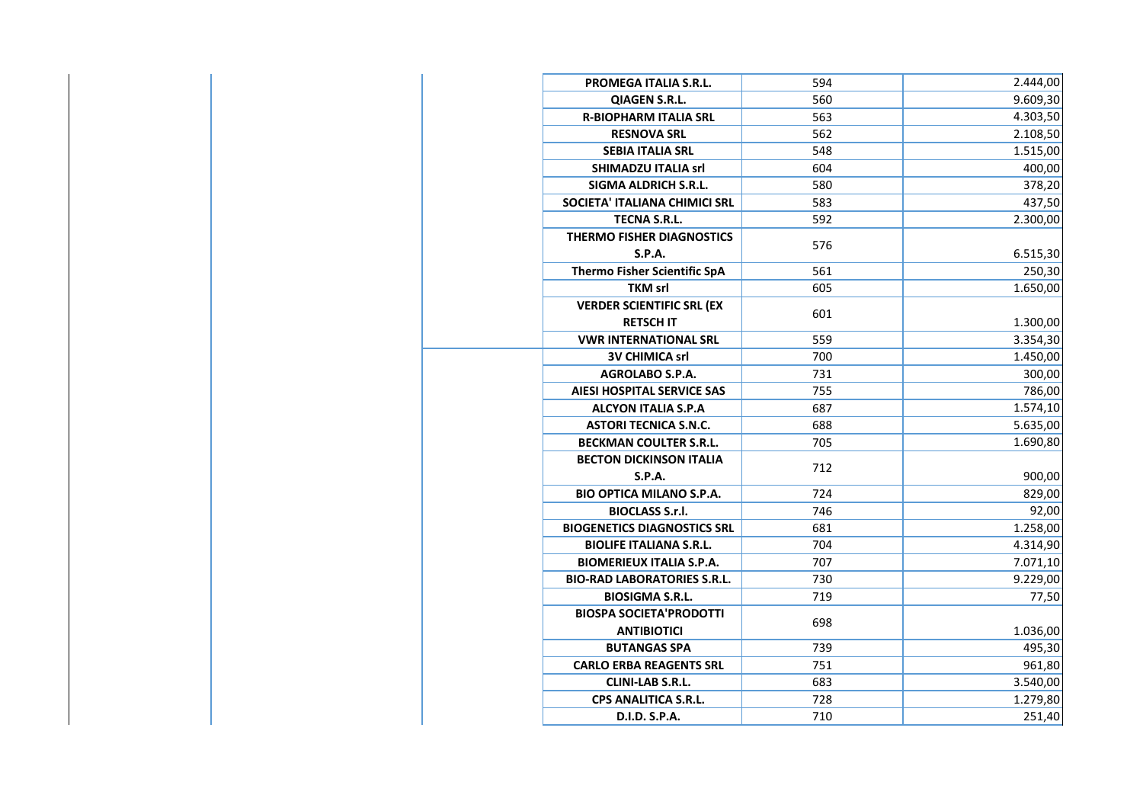| <b>PROMEGA ITALIA S.R.L.</b>        | 594 | 2.444,00 |
|-------------------------------------|-----|----------|
| <b>QIAGEN S.R.L.</b>                | 560 | 9.609,30 |
| <b>R-BIOPHARM ITALIA SRL</b>        | 563 | 4.303,50 |
| <b>RESNOVA SRL</b>                  | 562 | 2.108,50 |
| <b>SEBIA ITALIA SRL</b>             | 548 | 1.515,00 |
| <b>SHIMADZU ITALIA srl</b>          | 604 | 400,00   |
| <b>SIGMA ALDRICH S.R.L.</b>         | 580 | 378,20   |
| SOCIETA' ITALIANA CHIMICI SRL       | 583 | 437,50   |
| <b>TECNA S.R.L.</b>                 | 592 | 2.300,00 |
| <b>THERMO FISHER DIAGNOSTICS</b>    | 576 |          |
| S.P.A.                              |     | 6.515,30 |
| <b>Thermo Fisher Scientific SpA</b> | 561 | 250,30   |
| <b>TKM srl</b>                      | 605 | 1.650,00 |
| <b>VERDER SCIENTIFIC SRL (EX</b>    | 601 |          |
| <b>RETSCH IT</b>                    |     | 1.300,00 |
| <b>VWR INTERNATIONAL SRL</b>        | 559 | 3.354,30 |
| <b>3V CHIMICA srl</b>               | 700 | 1.450,00 |
| <b>AGROLABO S.P.A.</b>              | 731 | 300,00   |
| <b>AIESI HOSPITAL SERVICE SAS</b>   | 755 | 786,00   |
| <b>ALCYON ITALIA S.P.A</b>          | 687 | 1.574,10 |
| <b>ASTORI TECNICA S.N.C.</b>        | 688 | 5.635,00 |
| <b>BECKMAN COULTER S.R.L.</b>       | 705 | 1.690,80 |
| <b>BECTON DICKINSON ITALIA</b>      | 712 |          |
| <b>S.P.A.</b>                       |     | 900,00   |
| <b>BIO OPTICA MILANO S.P.A.</b>     | 724 | 829,00   |
| <b>BIOCLASS S.r.I.</b>              | 746 | 92,00    |
| <b>BIOGENETICS DIAGNOSTICS SRL</b>  | 681 | 1.258,00 |
| <b>BIOLIFE ITALIANA S.R.L.</b>      | 704 | 4.314,90 |
| <b>BIOMERIEUX ITALIA S.P.A.</b>     | 707 | 7.071,10 |
| <b>BIO-RAD LABORATORIES S.R.L.</b>  | 730 | 9.229,00 |
| <b>BIOSIGMA S.R.L.</b>              | 719 | 77,50    |
| <b>BIOSPA SOCIETA'PRODOTTI</b>      | 698 |          |
| <b>ANTIBIOTICI</b>                  |     | 1.036,00 |
| <b>BUTANGAS SPA</b>                 | 739 | 495,30   |
| <b>CARLO ERBA REAGENTS SRL</b>      | 751 | 961,80   |
| <b>CLINI-LAB S.R.L.</b>             | 683 | 3.540,00 |
| <b>CPS ANALITICA S.R.L.</b>         | 728 | 1.279,80 |
| D.I.D. S.P.A.                       | 710 | 251,40   |

 $\mathbb{R}^2$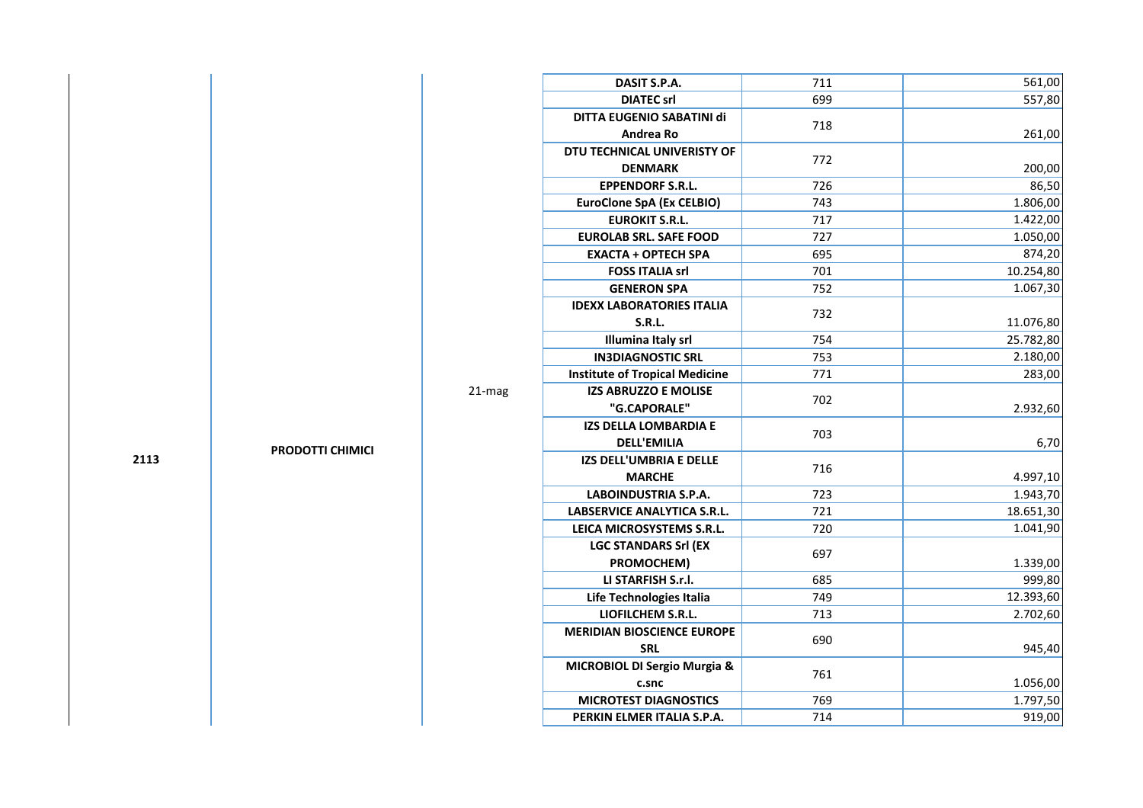| DASIT S.P.A.                            | 711 | 561,00    |
|-----------------------------------------|-----|-----------|
| <b>DIATEC srl</b>                       | 699 | 557,80    |
| DITTA EUGENIO SABATINI di               |     |           |
| Andrea Ro                               | 718 | 261,00    |
| DTU TECHNICAL UNIVERISTY OF             |     |           |
| <b>DENMARK</b>                          | 772 | 200,00    |
| <b>EPPENDORF S.R.L.</b>                 | 726 | 86,50     |
| <b>EuroClone SpA (Ex CELBIO)</b>        | 743 | 1.806,00  |
| <b>EUROKIT S.R.L.</b>                   | 717 | 1.422,00  |
| <b>EUROLAB SRL. SAFE FOOD</b>           | 727 | 1.050,00  |
| <b>EXACTA + OPTECH SPA</b>              | 695 | 874,20    |
| <b>FOSS ITALIA srl</b>                  | 701 | 10.254,80 |
| <b>GENERON SPA</b>                      | 752 | 1.067,30  |
| <b>IDEXX LABORATORIES ITALIA</b>        |     |           |
| <b>S.R.L.</b>                           | 732 | 11.076,80 |
| Illumina Italy srl                      | 754 | 25.782,80 |
| <b>IN3DIAGNOSTIC SRL</b>                | 753 | 2.180,00  |
| <b>Institute of Tropical Medicine</b>   | 771 | 283,00    |
| <b>IZS ABRUZZO E MOLISE</b>             | 702 |           |
| "G.CAPORALE"                            |     | 2.932,60  |
| <b>IZS DELLA LOMBARDIA E</b>            | 703 |           |
| <b>DELL'EMILIA</b>                      |     | 6,70      |
| IZS DELL'UMBRIA E DELLE                 | 716 |           |
| <b>MARCHE</b>                           |     | 4.997,10  |
| <b>LABOINDUSTRIA S.P.A.</b>             | 723 | 1.943,70  |
| LABSERVICE ANALYTICA S.R.L.             | 721 | 18.651,30 |
| LEICA MICROSYSTEMS S.R.L.               | 720 | 1.041,90  |
| <b>LGC STANDARS Srl (EX</b>             | 697 |           |
| PROMOCHEM)                              |     | 1.339,00  |
| LI STARFISH S.r.l.                      | 685 | 999,80    |
| Life Technologies Italia                | 749 | 12.393,60 |
| <b>LIOFILCHEM S.R.L.</b>                | 713 | 2.702,60  |
| <b>MERIDIAN BIOSCIENCE EUROPE</b>       | 690 |           |
| <b>SRL</b>                              |     | 945,40    |
| <b>MICROBIOL DI Sergio Murgia &amp;</b> | 761 |           |
| c.snc                                   |     | 1.056,00  |
| <b>MICROTEST DIAGNOSTICS</b>            | 769 | 1.797,50  |
| PERKIN ELMER ITALIA S.P.A.              | 714 | 919,00    |
|                                         |     |           |

**2113**

**PRODOTTI CHIMICI** 

21-mag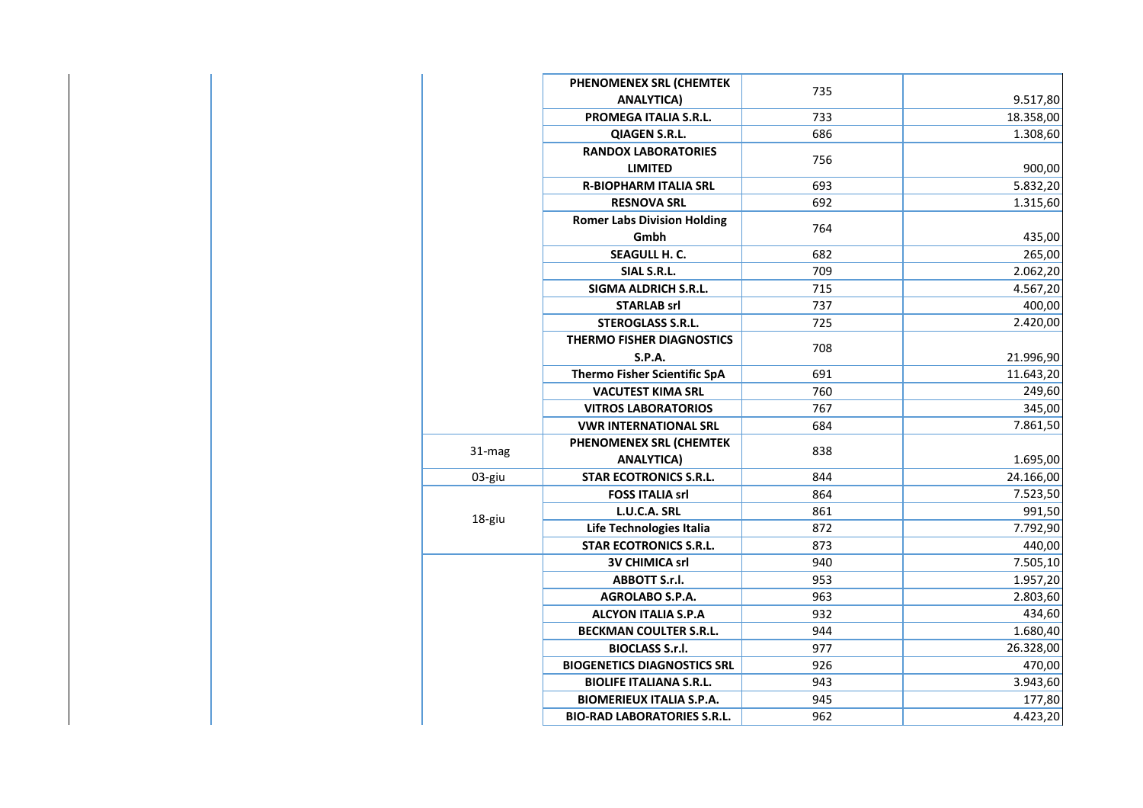|        | PHENOMENEX SRL (CHEMTEK             | 735 |           |
|--------|-------------------------------------|-----|-----------|
|        | <b>ANALYTICA)</b>                   |     | 9.517,80  |
|        | PROMEGA ITALIA S.R.L.               | 733 | 18.358,00 |
|        | QIAGEN S.R.L.                       | 686 | 1.308,60  |
|        | <b>RANDOX LABORATORIES</b>          | 756 |           |
|        | <b>LIMITED</b>                      |     | 900,00    |
|        | <b>R-BIOPHARM ITALIA SRL</b>        | 693 | 5.832,20  |
|        | <b>RESNOVA SRL</b>                  | 692 | 1.315,60  |
|        | <b>Romer Labs Division Holding</b>  | 764 |           |
|        | Gmbh                                |     | 435,00    |
|        | <b>SEAGULL H. C.</b>                | 682 | 265,00    |
|        | SIAL S.R.L.                         | 709 | 2.062,20  |
|        | <b>SIGMA ALDRICH S.R.L.</b>         | 715 | 4.567,20  |
|        | <b>STARLAB srl</b>                  | 737 | 400,00    |
|        | <b>STEROGLASS S.R.L.</b>            | 725 | 2.420,00  |
|        | <b>THERMO FISHER DIAGNOSTICS</b>    | 708 |           |
|        | S.P.A.                              |     | 21.996,90 |
|        | <b>Thermo Fisher Scientific SpA</b> | 691 | 11.643,20 |
|        | <b>VACUTEST KIMA SRL</b>            | 760 | 249,60    |
|        | <b>VITROS LABORATORIOS</b>          | 767 | 345,00    |
|        | <b>VWR INTERNATIONAL SRL</b>        | 684 | 7.861,50  |
| 31-mag | PHENOMENEX SRL (CHEMTEK             | 838 |           |
|        | <b>ANALYTICA)</b>                   |     | 1.695,00  |
| 03-giu | <b>STAR ECOTRONICS S.R.L.</b>       | 844 | 24.166,00 |
|        | <b>FOSS ITALIA srl</b>              | 864 | 7.523,50  |
| 18-giu | L.U.C.A. SRL                        | 861 | 991,50    |
|        | Life Technologies Italia            | 872 | 7.792,90  |
|        | <b>STAR ECOTRONICS S.R.L.</b>       | 873 | 440,00    |
|        | <b>3V CHIMICA srl</b>               | 940 | 7.505,10  |
|        | ABBOTT S.r.l.                       | 953 | 1.957,20  |
|        | <b>AGROLABO S.P.A.</b>              | 963 | 2.803,60  |
|        | <b>ALCYON ITALIA S.P.A</b>          | 932 | 434,60    |
|        | <b>BECKMAN COULTER S.R.L.</b>       | 944 | 1.680,40  |
|        | <b>BIOCLASS S.r.l.</b>              | 977 | 26.328,00 |
|        | <b>BIOGENETICS DIAGNOSTICS SRL</b>  | 926 | 470,00    |
|        | <b>BIOLIFE ITALIANA S.R.L.</b>      | 943 | 3.943,60  |
|        | <b>BIOMERIEUX ITALIA S.P.A.</b>     | 945 | 177,80    |
|        | <b>BIO-RAD LABORATORIES S.R.L.</b>  | 962 | 4.423,20  |
|        |                                     |     |           |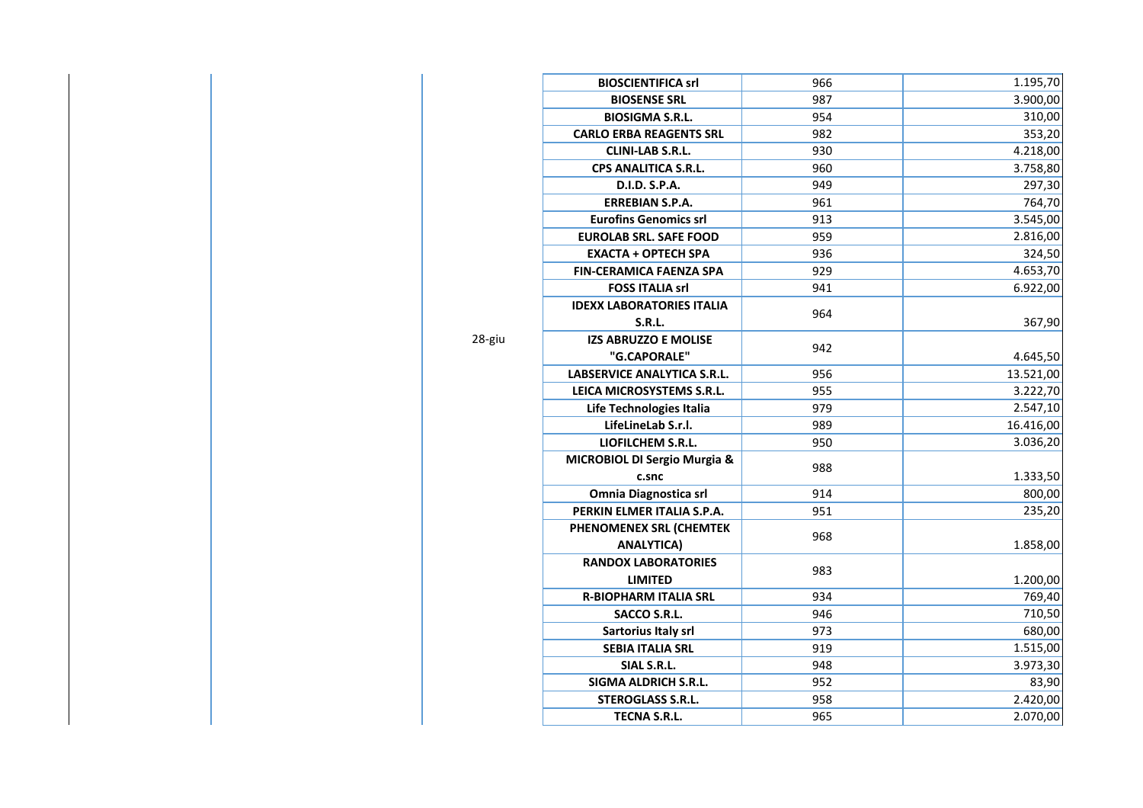| 966 | 1.195,70                               |
|-----|----------------------------------------|
| 987 | 3.900,00                               |
| 954 | 310,00                                 |
| 982 | 353,20                                 |
| 930 | 4.218,00                               |
| 960 | 3.758,80                               |
| 949 | 297,30                                 |
| 961 | 764,70                                 |
| 913 | 3.545,00                               |
| 959 | 2.816,00                               |
| 936 | 324,50                                 |
| 929 | 4.653,70                               |
| 941 | 6.922,00                               |
|     |                                        |
|     | 367,90                                 |
|     |                                        |
|     | 4.645,50                               |
| 956 | 13.521,00                              |
| 955 | 3.222,70                               |
| 979 | 2.547,10                               |
| 989 | 16.416,00                              |
| 950 | 3.036,20                               |
|     |                                        |
|     | 1.333,50                               |
| 914 | 800,00                                 |
| 951 | 235,20                                 |
|     |                                        |
|     | 1.858,00                               |
|     |                                        |
|     | 1.200,00                               |
| 934 | 769,40                                 |
| 946 | 710,50                                 |
| 973 | 680,00                                 |
| 919 | 1.515,00                               |
| 948 | 3.973,30                               |
|     | 83,90                                  |
| 958 | 2.420,00                               |
| 965 | 2.070,00                               |
|     | 964<br>942<br>988<br>968<br>983<br>952 |

28-giu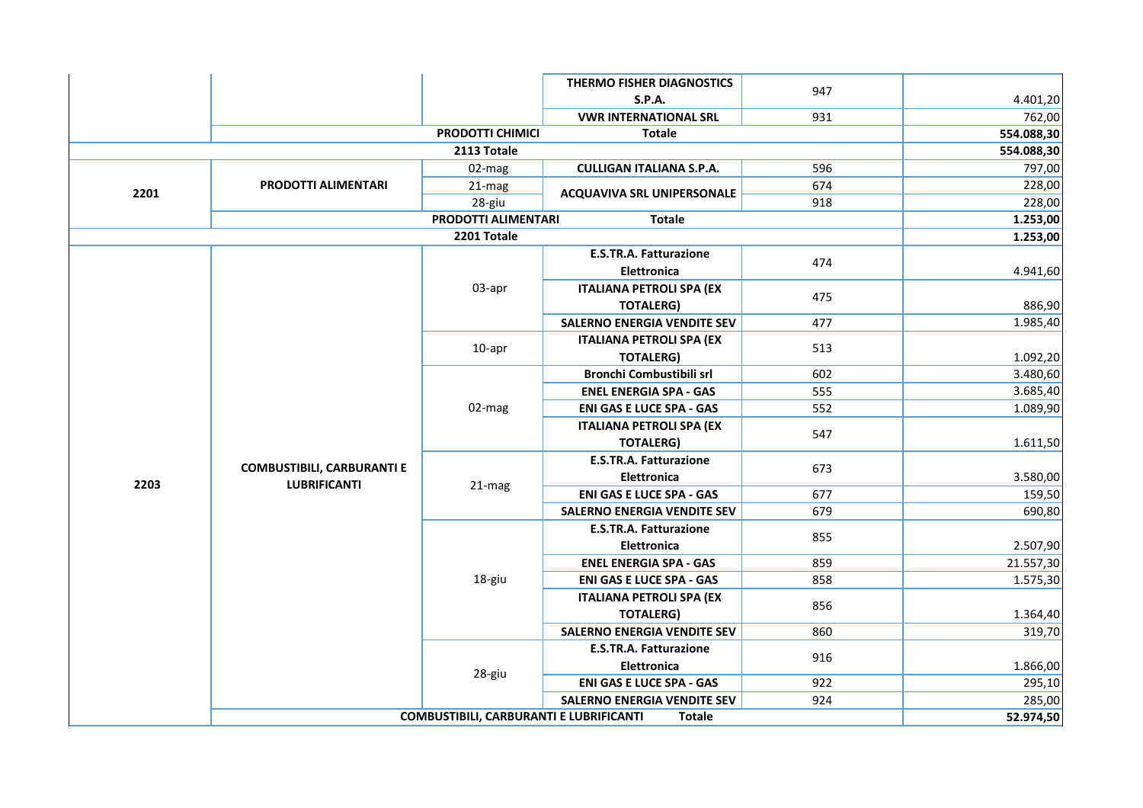|      |                                   |                     | <b>THERMO FISHER DIAGNOSTICS</b>   |     |            |
|------|-----------------------------------|---------------------|------------------------------------|-----|------------|
|      |                                   |                     | <b>S.P.A.</b>                      | 947 | 4.401,20   |
|      |                                   |                     | <b>VWR INTERNATIONAL SRL</b>       | 931 | 762,00     |
|      |                                   | PRODOTTI CHIMICI    | <b>Totale</b>                      |     | 554.088,30 |
|      |                                   | 2113 Totale         |                                    |     | 554.088,30 |
|      |                                   | 02-mag              | <b>CULLIGAN ITALIANA S.P.A.</b>    | 596 | 797,00     |
| 2201 | <b>PRODOTTI ALIMENTARI</b>        | 21-mag<br>28-giu    | <b>ACQUAVIVA SRL UNIPERSONALE</b>  | 674 | 228,00     |
|      |                                   |                     |                                    | 918 | 228,00     |
|      |                                   | PRODOTTI ALIMENTARI | <b>Totale</b>                      |     | 1.253,00   |
|      |                                   | 2201 Totale         |                                    |     | 1.253,00   |
|      |                                   |                     | <b>E.S.TR.A. Fatturazione</b>      | 474 |            |
|      |                                   |                     | <b>Elettronica</b>                 |     | 4.941,60   |
|      |                                   | 03-apr              | <b>ITALIANA PETROLI SPA (EX</b>    | 475 |            |
|      |                                   |                     | <b>TOTALERG)</b>                   |     | 886,90     |
|      |                                   |                     | <b>SALERNO ENERGIA VENDITE SEV</b> | 477 | 1.985,40   |
|      |                                   | 10-apr              | <b>ITALIANA PETROLI SPA (EX</b>    | 513 |            |
|      |                                   |                     | <b>TOTALERG)</b>                   |     | 1.092,20   |
|      |                                   |                     | Bronchi Combustibili srl           | 602 | 3.480,60   |
|      |                                   |                     | <b>ENEL ENERGIA SPA - GAS</b>      | 555 | 3.685,40   |
|      |                                   | 02-mag              | <b>ENI GAS E LUCE SPA - GAS</b>    | 552 | 1.089,90   |
|      |                                   |                     | <b>ITALIANA PETROLI SPA (EX</b>    | 547 |            |
|      |                                   |                     | <b>TOTALERG)</b>                   |     | 1.611,50   |
|      | <b>COMBUSTIBILI, CARBURANTI E</b> |                     | <b>E.S.TR.A. Fatturazione</b>      | 673 |            |
| 2203 | <b>LUBRIFICANTI</b>               | 21-mag              | Elettronica                        |     | 3.580,00   |
|      |                                   |                     | <b>ENI GAS E LUCE SPA - GAS</b>    | 677 | 159,50     |
|      |                                   |                     | <b>SALERNO ENERGIA VENDITE SEV</b> | 679 | 690,80     |
|      |                                   |                     | E.S.TR.A. Fatturazione             | 855 |            |
|      |                                   |                     | Elettronica                        |     | 2.507,90   |
|      |                                   |                     | <b>ENEL ENERGIA SPA - GAS</b>      | 859 | 21.557,30  |
|      |                                   | 18-giu              | <b>ENI GAS E LUCE SPA - GAS</b>    | 858 | 1.575,30   |
|      |                                   |                     | <b>ITALIANA PETROLI SPA (EX</b>    | 856 |            |
|      |                                   |                     | <b>TOTALERG)</b>                   |     | 1.364,40   |
|      |                                   |                     | <b>SALERNO ENERGIA VENDITE SEV</b> | 860 | 319,70     |
|      |                                   |                     | E.S.TR.A. Fatturazione             | 916 |            |
|      |                                   | 28-giu              | <b>Elettronica</b>                 |     | 1.866,00   |
|      |                                   |                     | <b>ENI GAS E LUCE SPA - GAS</b>    | 922 | 295,10     |
|      |                                   |                     | <b>SALERNO ENERGIA VENDITE SEV</b> | 924 | 285,00     |
|      | 52.974,50                         |                     |                                    |     |            |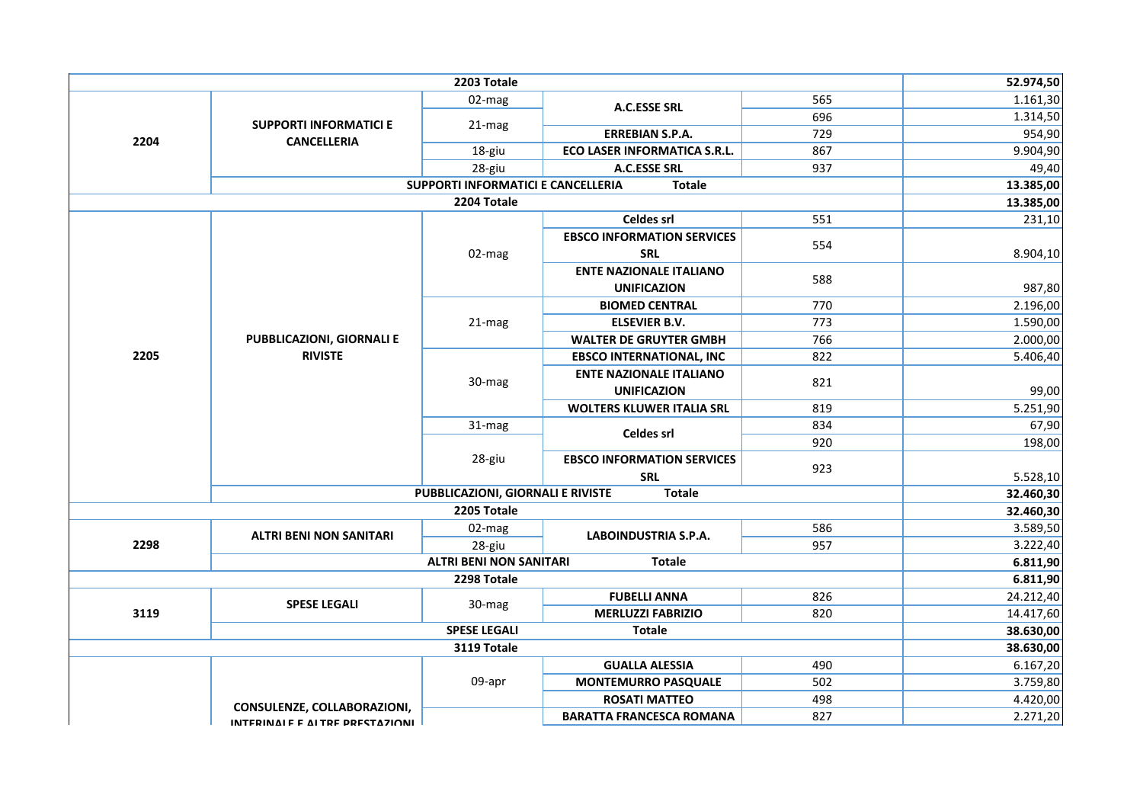|      |                                             | 2203 Totale                              |                                   |     | 52.974,50              |  |
|------|---------------------------------------------|------------------------------------------|-----------------------------------|-----|------------------------|--|
|      |                                             | 02-mag                                   | A.C.ESSE SRL                      | 565 | 1.161,30               |  |
|      | <b>SUPPORTI INFORMATICI E</b>               | 21-mag                                   |                                   | 696 | 1.314,50               |  |
| 2204 | <b>CANCELLERIA</b>                          |                                          | <b>ERREBIAN S.P.A.</b>            | 729 | 954,90                 |  |
|      |                                             | 18-giu                                   | ECO LASER INFORMATICA S.R.L.      | 867 | 9.904,90               |  |
|      |                                             | 28-giu                                   | A.C.ESSE SRL                      | 937 | 49,40                  |  |
|      |                                             | SUPPORTI INFORMATICI E CANCELLERIA       | <b>Totale</b>                     |     | 13.385,00              |  |
|      |                                             | 2204 Totale                              |                                   |     | 13.385,00              |  |
|      |                                             |                                          | <b>Celdes srl</b>                 | 551 | 231,10                 |  |
|      |                                             |                                          | <b>EBSCO INFORMATION SERVICES</b> | 554 |                        |  |
|      |                                             | 02-mag                                   | <b>SRL</b>                        |     | 8.904,10               |  |
|      |                                             |                                          | <b>ENTE NAZIONALE ITALIANO</b>    | 588 |                        |  |
|      |                                             |                                          | <b>UNIFICAZION</b>                |     | 987,80                 |  |
|      |                                             |                                          | <b>BIOMED CENTRAL</b>             | 770 | 2.196,00               |  |
|      |                                             | 21-mag                                   | <b>ELSEVIER B.V.</b>              | 773 | 1.590,00               |  |
|      | PUBBLICAZIONI, GIORNALI E<br><b>RIVISTE</b> |                                          | <b>WALTER DE GRUYTER GMBH</b>     | 766 | 2.000,00               |  |
| 2205 |                                             |                                          | <b>EBSCO INTERNATIONAL, INC</b>   | 822 | 5.406,40               |  |
|      |                                             | 30-mag                                   | <b>ENTE NAZIONALE ITALIANO</b>    | 821 |                        |  |
|      |                                             |                                          | <b>UNIFICAZION</b>                |     | 99,00                  |  |
|      |                                             |                                          | <b>WOLTERS KLUWER ITALIA SRL</b>  | 819 | 5.251,90               |  |
|      |                                             | 31-mag                                   | Celdes srl                        | 834 | 67,90                  |  |
|      |                                             |                                          |                                   | 920 | 198,00                 |  |
|      |                                             | 28-giu                                   | <b>EBSCO INFORMATION SERVICES</b> | 923 |                        |  |
|      |                                             |                                          | <b>SRL</b>                        |     | 5.528,10               |  |
|      |                                             | <b>PUBBLICAZIONI, GIORNALI E RIVISTE</b> | <b>Totale</b>                     |     | 32.460,30              |  |
|      |                                             | 2205 Totale                              |                                   |     | 32.460,30              |  |
|      | <b>ALTRI BENI NON SANITARI</b>              | 02-mag                                   | LABOINDUSTRIA S.P.A.              | 586 | 3.589,50               |  |
| 2298 |                                             | 28-giu                                   |                                   | 957 | 3.222,40               |  |
|      |                                             | <b>ALTRI BENI NON SANITARI</b>           | <b>Totale</b>                     |     | 6.811,90               |  |
|      |                                             | 2298 Totale                              |                                   |     | 6.811,90               |  |
|      | <b>SPESE LEGALI</b>                         | 30-mag                                   | <b>FUBELLI ANNA</b>               | 826 | 24.212,40              |  |
| 3119 |                                             |                                          | <b>MERLUZZI FABRIZIO</b>          | 820 | 14.417,60<br>38.630,00 |  |
|      | <b>SPESE LEGALI</b><br><b>Totale</b>        |                                          |                                   |     |                        |  |
|      | 3119 Totale                                 |                                          |                                   |     |                        |  |
|      |                                             |                                          | <b>GUALLA ALESSIA</b>             | 490 | 6.167,20               |  |
|      |                                             | 09-apr                                   | <b>MONTEMURRO PASQUALE</b>        | 502 | 3.759,80               |  |
|      | CONSULENZE, COLLABORAZIONI,                 |                                          | <b>ROSATI MATTEO</b>              | 498 | 4.420,00               |  |
|      | INTERINALE E ALTRE DRESTAZIONI              |                                          | <b>BARATTA FRANCESCA ROMANA</b>   | 827 | 2.271,20               |  |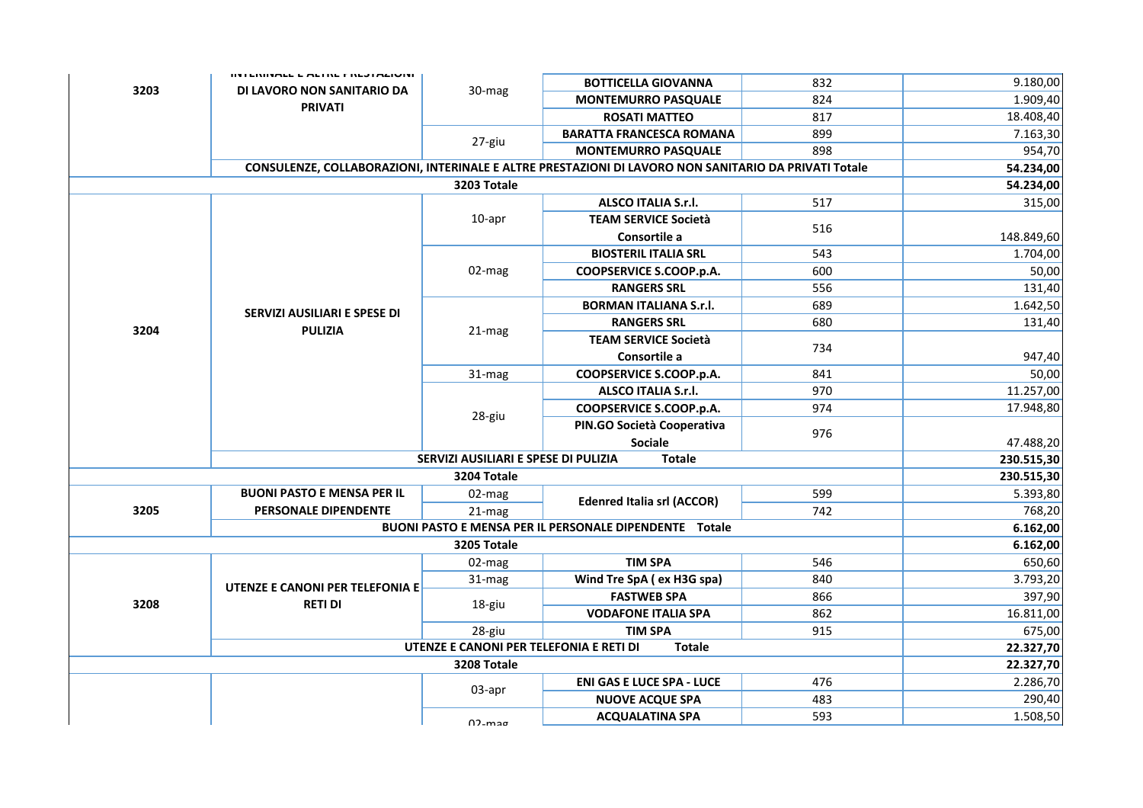|                                                          | <b>INTENINALE E ALTRE FREJTAZIONI</b> |                                      |                                                                                                      |            | 9.180,00   |
|----------------------------------------------------------|---------------------------------------|--------------------------------------|------------------------------------------------------------------------------------------------------|------------|------------|
| 3203                                                     | DI LAVORO NON SANITARIO DA            | 30-mag                               | <b>BOTTICELLA GIOVANNA</b><br><b>MONTEMURRO PASQUALE</b>                                             | 832<br>824 | 1.909,40   |
|                                                          | <b>PRIVATI</b>                        |                                      | <b>ROSATI MATTEO</b>                                                                                 | 817        | 18.408,40  |
|                                                          |                                       |                                      | <b>BARATTA FRANCESCA ROMANA</b>                                                                      | 899        | 7.163,30   |
|                                                          |                                       | 27-giu                               | <b>MONTEMURRO PASQUALE</b>                                                                           | 898        | 954,70     |
|                                                          |                                       |                                      | CONSULENZE, COLLABORAZIONI, INTERINALE E ALTRE PRESTAZIONI DI LAVORO NON SANITARIO DA PRIVATI Totale |            | 54.234,00  |
|                                                          |                                       | 3203 Totale                          |                                                                                                      |            | 54.234,00  |
|                                                          |                                       |                                      | <b>ALSCO ITALIA S.r.l.</b>                                                                           | 517        | 315,00     |
|                                                          |                                       | 10-apr                               | <b>TEAM SERVICE Società</b>                                                                          |            |            |
|                                                          |                                       |                                      | Consortile a                                                                                         | 516        | 148.849,60 |
|                                                          |                                       |                                      | <b>BIOSTERIL ITALIA SRL</b>                                                                          | 543        | 1.704,00   |
|                                                          |                                       | 02-mag                               | COOPSERVICE S.COOP.p.A.                                                                              | 600        | 50,00      |
|                                                          |                                       |                                      | <b>RANGERS SRL</b>                                                                                   | 556        | 131,40     |
|                                                          | SERVIZI AUSILIARI E SPESE DI          |                                      | <b>BORMAN ITALIANA S.r.I.</b>                                                                        | 689        | 1.642,50   |
| 3204                                                     | <b>PULIZIA</b>                        | 21-mag                               | <b>RANGERS SRL</b>                                                                                   | 680        | 131,40     |
|                                                          |                                       |                                      | <b>TEAM SERVICE Società</b>                                                                          | 734        |            |
|                                                          |                                       |                                      | Consortile a                                                                                         |            | 947,40     |
|                                                          |                                       | 31-mag                               | COOPSERVICE S.COOP.p.A.                                                                              | 841        | 50,00      |
|                                                          |                                       | 28-giu                               | <b>ALSCO ITALIA S.r.l.</b>                                                                           | 970        | 11.257,00  |
|                                                          |                                       |                                      | COOPSERVICE S.COOP.p.A.                                                                              | 974        | 17.948,80  |
|                                                          |                                       |                                      | PIN.GO Società Cooperativa                                                                           | 976        |            |
|                                                          |                                       |                                      | <b>Sociale</b>                                                                                       |            | 47.488,20  |
|                                                          |                                       | SERVIZI AUSILIARI E SPESE DI PULIZIA | <b>Totale</b>                                                                                        |            | 230.515,30 |
|                                                          |                                       | 3204 Totale                          |                                                                                                      |            | 230.515,30 |
|                                                          | <b>BUONI PASTO E MENSA PER IL</b>     | 02-mag                               | <b>Edenred Italia srl (ACCOR)</b>                                                                    | 599        | 5.393,80   |
| 3205                                                     | PERSONALE DIPENDENTE                  | $21$ -mag                            |                                                                                                      | 742        | 768,20     |
|                                                          |                                       |                                      | <b>BUONI PASTO E MENSA PER IL PERSONALE DIPENDENTE Totale</b>                                        |            | 6.162,00   |
|                                                          |                                       | 3205 Totale                          |                                                                                                      |            | 6.162,00   |
|                                                          |                                       | 02-mag                               | <b>TIM SPA</b>                                                                                       | 546        | 650,60     |
|                                                          | UTENZE E CANONI PER TELEFONIA E       | $31$ -mag                            | Wind Tre SpA (ex H3G spa)                                                                            | 840        | 3.793,20   |
| 3208                                                     | <b>RETI DI</b>                        | 18-giu                               | <b>FASTWEB SPA</b>                                                                                   | 866        | 397,90     |
|                                                          |                                       |                                      | <b>VODAFONE ITALIA SPA</b>                                                                           | 862        | 16.811,00  |
|                                                          |                                       | 28-giu                               | <b>TIM SPA</b>                                                                                       | 915        | 675,00     |
| UTENZE E CANONI PER TELEFONIA E RETI DI<br><b>Totale</b> |                                       |                                      |                                                                                                      |            | 22.327,70  |
|                                                          |                                       | 3208 Totale                          |                                                                                                      |            | 22.327,70  |
|                                                          |                                       | 03-apr                               | <b>ENI GAS E LUCE SPA - LUCE</b>                                                                     | 476        | 2.286,70   |
|                                                          |                                       |                                      | <b>NUOVE ACQUE SPA</b>                                                                               | 483        | 290,40     |
|                                                          |                                       | $02$ -mag                            | <b>ACQUALATINA SPA</b>                                                                               | 593        | 1.508,50   |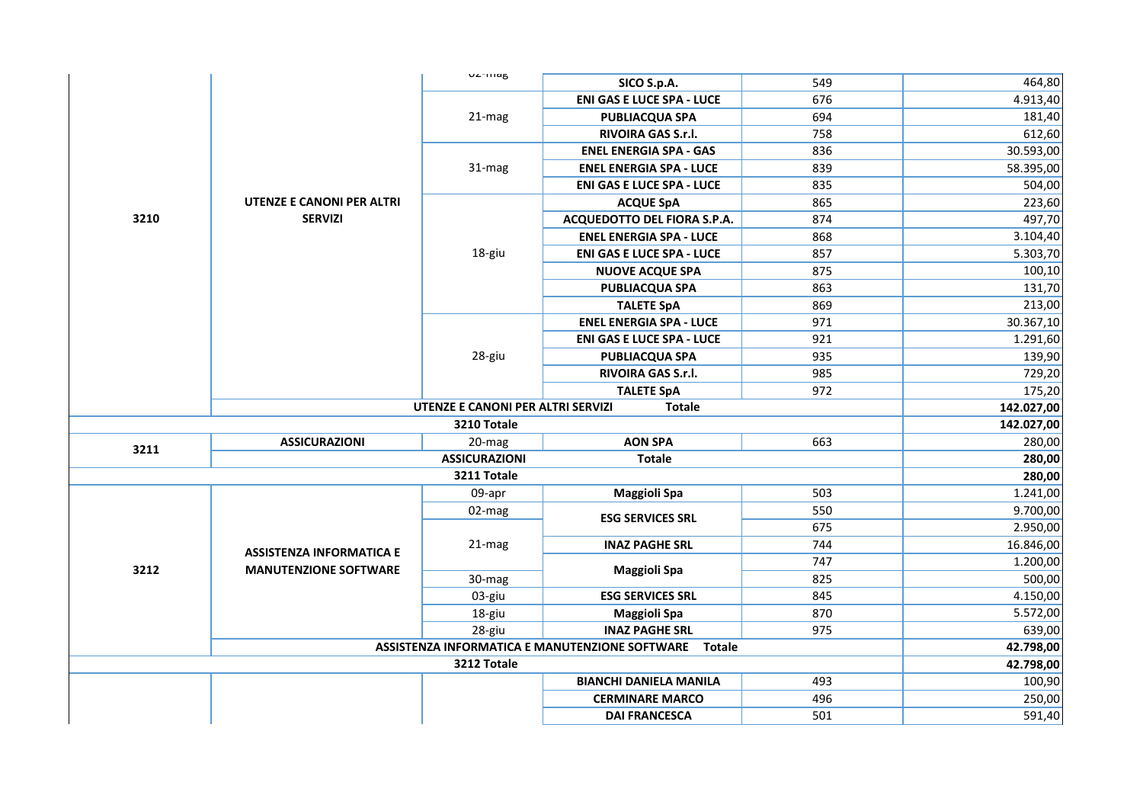|      |                                 | <b>U</b> ZTHIAB                   | SICO S.p.A.                                              | 549        | 464,80           |
|------|---------------------------------|-----------------------------------|----------------------------------------------------------|------------|------------------|
|      |                                 | $21 - mag$                        | <b>ENI GAS E LUCE SPA - LUCE</b>                         | 676        | 4.913,40         |
|      |                                 |                                   | <b>PUBLIACQUA SPA</b>                                    | 694        | 181,40           |
|      |                                 |                                   | RIVOIRA GAS S.r.l.                                       | 758        | 612,60           |
|      |                                 |                                   | <b>ENEL ENERGIA SPA - GAS</b>                            | 836        | 30.593,00        |
|      |                                 | $31 - mag$                        | <b>ENEL ENERGIA SPA - LUCE</b>                           | 839        | 58.395,00        |
|      |                                 |                                   | <b>ENI GAS E LUCE SPA - LUCE</b>                         | 835        | 504,00           |
|      | UTENZE E CANONI PER ALTRI       |                                   | <b>ACQUE SpA</b>                                         | 865        | 223,60           |
| 3210 | <b>SERVIZI</b>                  |                                   | ACQUEDOTTO DEL FIORA S.P.A.                              | 874        | 497,70           |
|      |                                 |                                   | <b>ENEL ENERGIA SPA - LUCE</b>                           | 868        | 3.104,40         |
|      |                                 | 18-giu                            | <b>ENI GAS E LUCE SPA - LUCE</b>                         | 857        | 5.303,70         |
|      |                                 |                                   | <b>NUOVE ACQUE SPA</b>                                   | 875        | 100,10           |
|      |                                 |                                   | <b>PUBLIACQUA SPA</b>                                    | 863        | 131,70           |
|      |                                 |                                   | <b>TALETE SpA</b>                                        | 869        | 213,00           |
|      |                                 |                                   | <b>ENEL ENERGIA SPA - LUCE</b>                           | 971        | 30.367,10        |
|      |                                 |                                   | <b>ENI GAS E LUCE SPA - LUCE</b>                         | 921        | 1.291,60         |
|      |                                 | 28-giu                            | <b>PUBLIACQUA SPA</b>                                    | 935        | 139,90           |
|      |                                 |                                   | RIVOIRA GAS S.r.l.                                       | 985        | 729,20           |
|      |                                 |                                   | <b>TALETE SpA</b>                                        | 972        | 175,20           |
|      |                                 | UTENZE E CANONI PER ALTRI SERVIZI | <b>Totale</b>                                            |            | 142.027,00       |
|      |                                 |                                   |                                                          |            |                  |
|      |                                 | 3210 Totale                       |                                                          |            | 142.027,00       |
|      | <b>ASSICURAZIONI</b>            | $20$ -mag                         | <b>AON SPA</b>                                           | 663        | 280,00           |
| 3211 |                                 | <b>ASSICURAZIONI</b>              | <b>Totale</b>                                            |            | 280,00           |
|      |                                 | 3211 Totale                       |                                                          |            | 280,00           |
|      |                                 | 09-apr                            | <b>Maggioli Spa</b>                                      | 503        | 1.241,00         |
|      |                                 | 02-mag                            |                                                          | 550        | 9.700,00         |
|      |                                 |                                   | <b>ESG SERVICES SRL</b>                                  | 675        | 2.950,00         |
|      |                                 | 21-mag                            | <b>INAZ PAGHE SRL</b>                                    | 744        | 16.846,00        |
|      | <b>ASSISTENZA INFORMATICA E</b> |                                   |                                                          | 747        | 1.200,00         |
| 3212 | <b>MANUTENZIONE SOFTWARE</b>    | 30-mag                            | <b>Maggioli Spa</b>                                      | 825        | 500,00           |
|      |                                 | 03-giu                            | <b>ESG SERVICES SRL</b>                                  | 845        | 4.150,00         |
|      |                                 | 18-giu                            | <b>Maggioli Spa</b>                                      | 870        | 5.572,00         |
|      |                                 | 28-giu                            | <b>INAZ PAGHE SRL</b>                                    | 975        | 639,00           |
|      |                                 |                                   | ASSISTENZA INFORMATICA E MANUTENZIONE SOFTWARE<br>Totale |            | 42.798,00        |
|      |                                 | 3212 Totale                       |                                                          |            | 42.798,00        |
|      |                                 |                                   | <b>BIANCHI DANIELA MANILA</b>                            | 493        | 100,90           |
|      |                                 |                                   | <b>CERMINARE MARCO</b>                                   | 496<br>501 | 250,00<br>591,40 |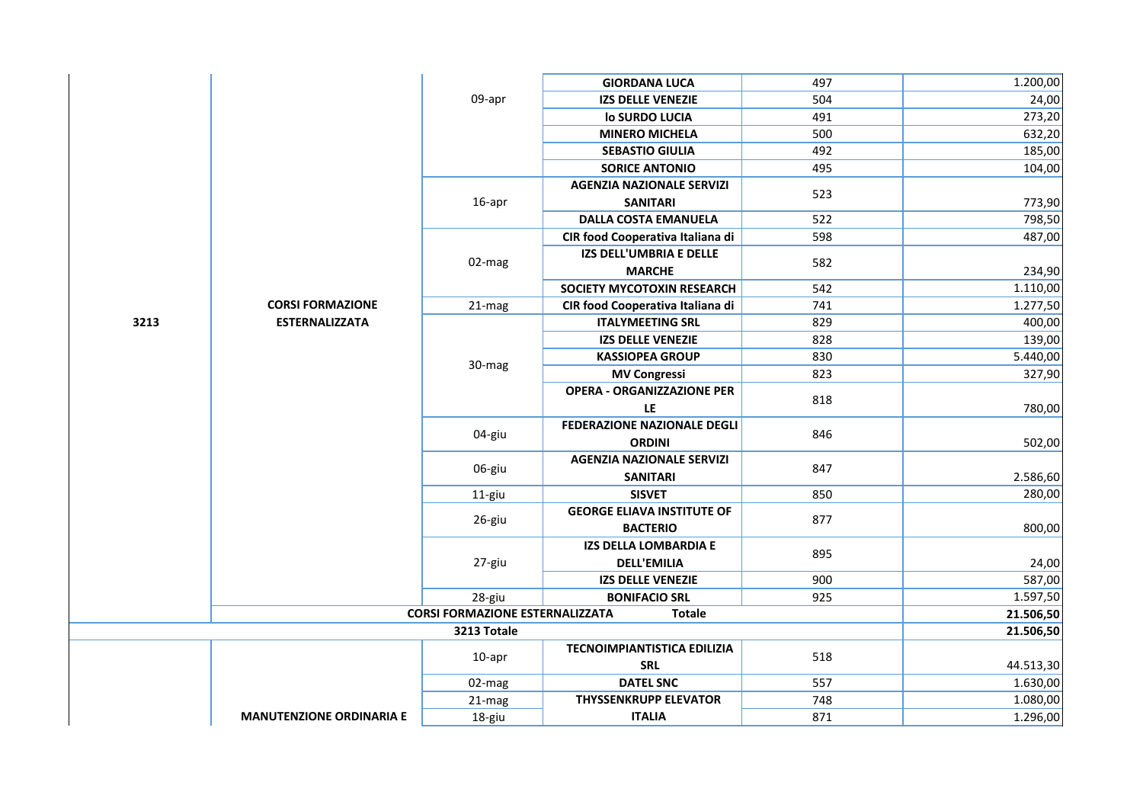|      |                                 |                                        | <b>GIORDANA LUCA</b>               | 497 | 1.200,00  |
|------|---------------------------------|----------------------------------------|------------------------------------|-----|-----------|
|      |                                 | 09-apr                                 | <b>IZS DELLE VENEZIE</b>           | 504 | 24,00     |
|      |                                 |                                        | lo SURDO LUCIA                     | 491 | 273,20    |
|      |                                 |                                        | <b>MINERO MICHELA</b>              | 500 | 632,20    |
|      |                                 |                                        | <b>SEBASTIO GIULIA</b>             | 492 | 185,00    |
|      |                                 |                                        | <b>SORICE ANTONIO</b>              | 495 | 104,00    |
|      |                                 |                                        | <b>AGENZIA NAZIONALE SERVIZI</b>   | 523 |           |
|      |                                 | 16-apr                                 | <b>SANITARI</b>                    |     | 773,90    |
|      |                                 |                                        | <b>DALLA COSTA EMANUELA</b>        | 522 | 798,50    |
|      |                                 |                                        | CIR food Cooperativa Italiana di   | 598 | 487,00    |
|      |                                 | 02-mag                                 | IZS DELL'UMBRIA E DELLE            | 582 |           |
|      |                                 |                                        | <b>MARCHE</b>                      |     | 234,90    |
|      |                                 |                                        | SOCIETY MYCOTOXIN RESEARCH         | 542 | 1.110,00  |
|      | <b>CORSI FORMAZIONE</b>         | 21-mag                                 | CIR food Cooperativa Italiana di   | 741 | 1.277,50  |
| 3213 | <b>ESTERNALIZZATA</b>           |                                        | <b>ITALYMEETING SRL</b>            | 829 | 400,00    |
|      |                                 |                                        | <b>IZS DELLE VENEZIE</b>           | 828 | 139,00    |
|      |                                 | 30-mag                                 | <b>KASSIOPEA GROUP</b>             | 830 | 5.440,00  |
|      |                                 |                                        | <b>MV Congressi</b>                | 823 | 327,90    |
|      |                                 |                                        | <b>OPERA - ORGANIZZAZIONE PER</b>  | 818 |           |
|      |                                 |                                        | LE                                 |     | 780,00    |
|      |                                 | 04-giu                                 | <b>FEDERAZIONE NAZIONALE DEGLI</b> | 846 |           |
|      |                                 |                                        | <b>ORDINI</b>                      |     | 502,00    |
|      |                                 | 06-giu                                 | <b>AGENZIA NAZIONALE SERVIZI</b>   | 847 |           |
|      |                                 |                                        | <b>SANITARI</b>                    |     | 2.586,60  |
|      |                                 | 11-giu                                 | <b>SISVET</b>                      | 850 | 280,00    |
|      |                                 | 26-giu                                 | <b>GEORGE ELIAVA INSTITUTE OF</b>  | 877 |           |
|      |                                 |                                        | <b>BACTERIO</b>                    |     | 800,00    |
|      |                                 |                                        | IZS DELLA LOMBARDIA E              | 895 |           |
|      |                                 | 27-giu                                 | <b>DELL'EMILIA</b>                 |     | 24,00     |
|      |                                 |                                        | <b>IZS DELLE VENEZIE</b>           | 900 | 587,00    |
|      |                                 | 28-giu                                 | <b>BONIFACIO SRL</b>               | 925 | 1.597,50  |
|      |                                 | <b>CORSI FORMAZIONE ESTERNALIZZATA</b> | <b>Totale</b>                      |     | 21.506,50 |
|      |                                 | 3213 Totale                            |                                    |     | 21.506,50 |
|      |                                 | $10$ -apr                              | <b>TECNOIMPIANTISTICA EDILIZIA</b> | 518 |           |
|      |                                 |                                        | <b>SRL</b>                         |     | 44.513,30 |
|      |                                 | 02-mag                                 | <b>DATEL SNC</b>                   | 557 | 1.630,00  |
|      |                                 | 21-mag                                 | <b>THYSSENKRUPP ELEVATOR</b>       | 748 | 1.080,00  |
|      | <b>MANUTENZIONE ORDINARIA E</b> | 18-giu                                 | <b>ITALIA</b>                      | 871 | 1.296,00  |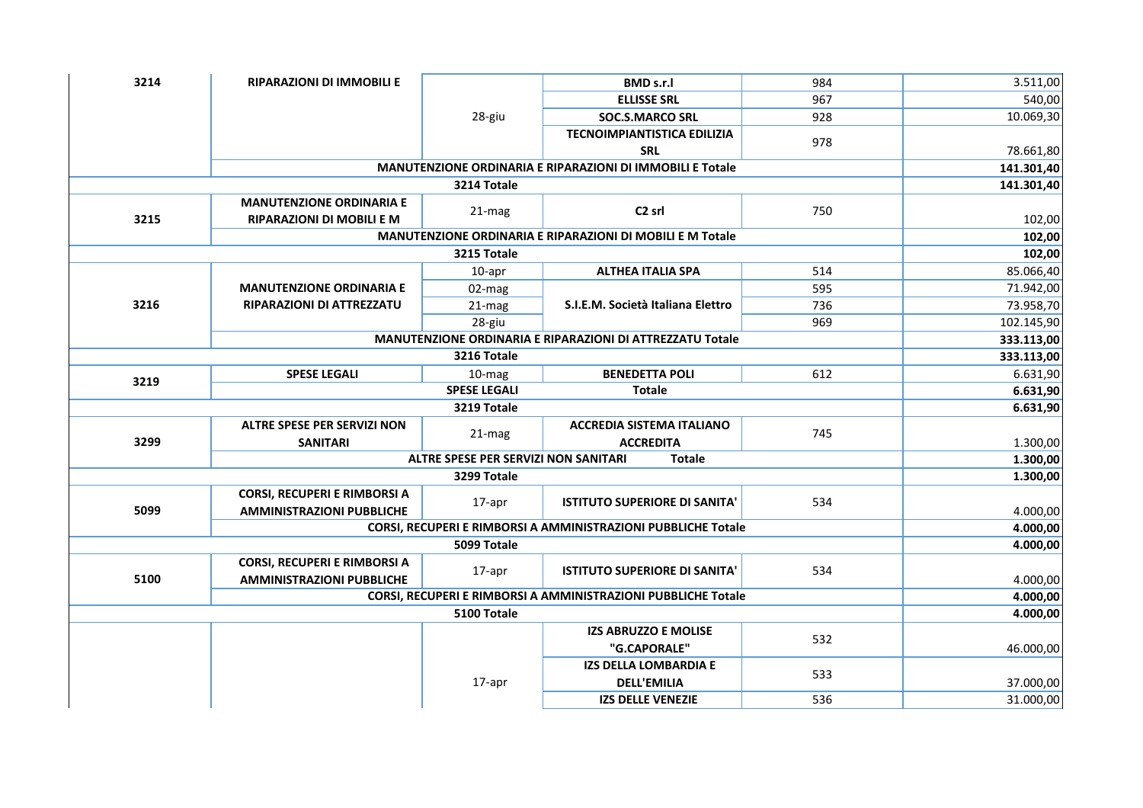| 3214 | <b>RIPARAZIONI DI IMMOBILI E</b>                              |                                                               | <b>BMD s.r.l</b>                                          | 984 | 3.511,00   |
|------|---------------------------------------------------------------|---------------------------------------------------------------|-----------------------------------------------------------|-----|------------|
|      |                                                               |                                                               | <b>ELLISSE SRL</b>                                        | 967 | 540,00     |
|      |                                                               | 28-giu                                                        | <b>SOC.S.MARCO SRL</b>                                    | 928 | 10.069,30  |
|      |                                                               |                                                               | <b>TECNOIMPIANTISTICA EDILIZIA</b>                        |     |            |
|      |                                                               |                                                               | <b>SRL</b>                                                | 978 | 78.661,80  |
|      |                                                               |                                                               | MANUTENZIONE ORDINARIA E RIPARAZIONI DI IMMOBILI E Totale |     | 141.301,40 |
|      |                                                               | 3214 Totale                                                   |                                                           |     | 141.301,40 |
|      | <b>MANUTENZIONE ORDINARIA E</b>                               |                                                               | C <sub>2</sub> srl                                        | 750 |            |
| 3215 | RIPARAZIONI DI MOBILI E M                                     | 21-mag                                                        |                                                           |     | 102,00     |
|      |                                                               |                                                               | MANUTENZIONE ORDINARIA E RIPARAZIONI DI MOBILI E M Totale |     | 102,00     |
|      |                                                               | 3215 Totale                                                   |                                                           |     | 102,00     |
|      |                                                               | 10-apr                                                        | <b>ALTHEA ITALIA SPA</b>                                  | 514 | 85.066,40  |
|      | <b>MANUTENZIONE ORDINARIA E</b>                               | $02$ -mag                                                     |                                                           | 595 | 71.942,00  |
| 3216 | RIPARAZIONI DI ATTREZZATU                                     | $21 - mag$                                                    | S.I.E.M. Società Italiana Elettro                         | 736 | 73.958,70  |
|      |                                                               | 28-giu                                                        |                                                           | 969 | 102.145,90 |
|      |                                                               |                                                               | MANUTENZIONE ORDINARIA E RIPARAZIONI DI ATTREZZATU Totale |     | 333.113,00 |
|      |                                                               | 3216 Totale                                                   |                                                           |     | 333.113,00 |
| 3219 | <b>SPESE LEGALI</b>                                           | 10-mag                                                        | <b>BENEDETTA POLI</b>                                     | 612 | 6.631,90   |
|      |                                                               | <b>SPESE LEGALI</b>                                           | <b>Totale</b>                                             |     | 6.631,90   |
|      |                                                               | 3219 Totale                                                   |                                                           |     | 6.631,90   |
|      | <b>ALTRE SPESE PER SERVIZI NON</b>                            |                                                               | <b>ACCREDIA SISTEMA ITALIANO</b>                          | 745 |            |
| 3299 | <b>SANITARI</b>                                               | 21-mag                                                        | <b>ACCREDITA</b>                                          |     | 1.300,00   |
|      | <b>ALTRE SPESE PER SERVIZI NON SANITARI</b>                   | 1.300,00                                                      |                                                           |     |            |
|      |                                                               | 3299 Totale                                                   |                                                           |     | 1.300,00   |
|      | CORSI, RECUPERI E RIMBORSI A                                  |                                                               | <b>ISTITUTO SUPERIORE DI SANITA'</b>                      | 534 |            |
| 5099 | <b>AMMINISTRAZIONI PUBBLICHE</b>                              | 17-apr                                                        |                                                           |     | 4.000,00   |
|      |                                                               | CORSI, RECUPERI E RIMBORSI A AMMINISTRAZIONI PUBBLICHE Totale |                                                           |     | 4.000,00   |
|      |                                                               | 5099 Totale                                                   |                                                           |     | 4.000,00   |
|      | <b>CORSI, RECUPERI E RIMBORSI A</b>                           |                                                               | <b>ISTITUTO SUPERIORE DI SANITA'</b>                      | 534 |            |
| 5100 | <b>AMMINISTRAZIONI PUBBLICHE</b>                              | 17-apr                                                        |                                                           |     | 4.000,00   |
|      | CORSI, RECUPERI E RIMBORSI A AMMINISTRAZIONI PUBBLICHE Totale | 4.000,00                                                      |                                                           |     |            |
|      |                                                               | 5100 Totale                                                   |                                                           |     | 4.000,00   |
|      |                                                               |                                                               | <b>IZS ABRUZZO E MOLISE</b>                               | 532 |            |
|      |                                                               |                                                               | "G.CAPORALE"                                              |     | 46.000,00  |
|      |                                                               |                                                               | <b>IZS DELLA LOMBARDIA E</b>                              | 533 |            |
|      |                                                               | 17-apr                                                        | <b>DELL'EMILIA</b>                                        |     | 37.000,00  |
|      |                                                               |                                                               | <b>IZS DELLE VENEZIE</b>                                  | 536 | 31.000,00  |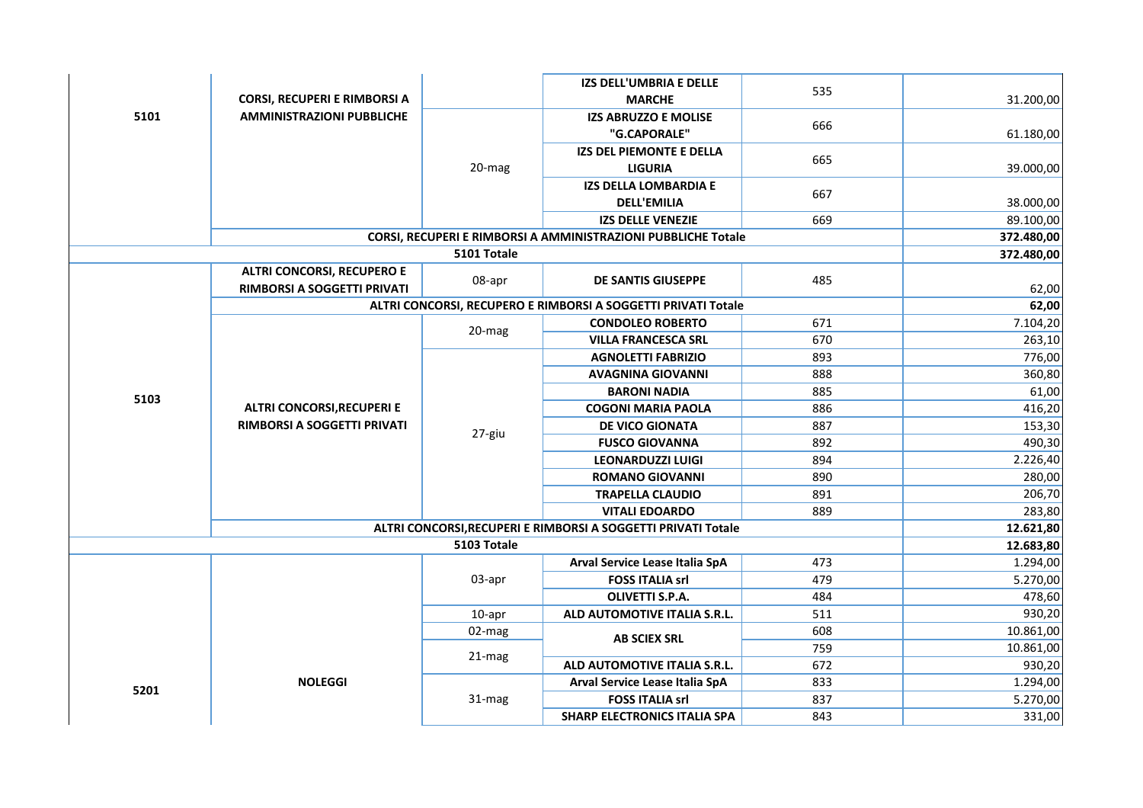|      |                                     |                                     | IZS DELL'UMBRIA E DELLE                                       |        |            |
|------|-------------------------------------|-------------------------------------|---------------------------------------------------------------|--------|------------|
|      | <b>CORSI, RECUPERI E RIMBORSI A</b> |                                     | <b>MARCHE</b>                                                 | 535    | 31.200,00  |
| 5101 | <b>AMMINISTRAZIONI PUBBLICHE</b>    |                                     | <b>IZS ABRUZZO E MOLISE</b>                                   |        |            |
|      |                                     | $20$ -mag                           | "G.CAPORALE"                                                  | 666    | 61.180,00  |
|      |                                     |                                     | <b>IZS DEL PIEMONTE E DELLA</b>                               |        |            |
|      |                                     |                                     | <b>LIGURIA</b>                                                | 665    | 39.000,00  |
|      |                                     |                                     | IZS DELLA LOMBARDIA E                                         |        |            |
|      |                                     |                                     | <b>DELL'EMILIA</b>                                            | 667    | 38.000,00  |
|      |                                     |                                     | <b>IZS DELLE VENEZIE</b>                                      | 669    | 89.100,00  |
|      |                                     |                                     | CORSI, RECUPERI E RIMBORSI A AMMINISTRAZIONI PUBBLICHE Totale |        | 372.480,00 |
|      |                                     | 5101 Totale                         |                                                               |        | 372.480,00 |
|      | <b>ALTRI CONCORSI, RECUPERO E</b>   | 08-apr                              | DE SANTIS GIUSEPPE                                            | 485    |            |
|      | RIMBORSI A SOGGETTI PRIVATI         |                                     |                                                               |        | 62,00      |
|      |                                     |                                     | ALTRI CONCORSI, RECUPERO E RIMBORSI A SOGGETTI PRIVATI Totale |        | 62,00      |
|      |                                     | 20-mag                              | <b>CONDOLEO ROBERTO</b>                                       | 671    | 7.104,20   |
|      |                                     |                                     | <b>VILLA FRANCESCA SRL</b>                                    | 670    | 263,10     |
|      |                                     |                                     | <b>AGNOLETTI FABRIZIO</b>                                     | 893    | 776,00     |
|      |                                     |                                     | <b>AVAGNINA GIOVANNI</b>                                      | 888    | 360,80     |
| 5103 |                                     |                                     | <b>BARONI NADIA</b>                                           | 885    | 61,00      |
|      | <b>ALTRI CONCORSI, RECUPERI E</b>   |                                     | <b>COGONI MARIA PAOLA</b>                                     | 886    | 416,20     |
|      | RIMBORSI A SOGGETTI PRIVATI         | 27-giu                              | DE VICO GIONATA                                               | 887    | 153,30     |
|      |                                     |                                     | <b>FUSCO GIOVANNA</b>                                         | 892    | 490,30     |
|      |                                     |                                     | <b>LEONARDUZZI LUIGI</b>                                      | 894    | 2.226,40   |
|      |                                     |                                     | <b>ROMANO GIOVANNI</b>                                        | 890    | 280,00     |
|      |                                     |                                     | <b>TRAPELLA CLAUDIO</b>                                       | 891    | 206,70     |
|      |                                     |                                     | <b>VITALI EDOARDO</b>                                         | 889    | 283,80     |
|      |                                     |                                     | ALTRI CONCORSI, RECUPERI E RIMBORSI A SOGGETTI PRIVATI Totale |        | 12.621,80  |
|      |                                     | 5103 Totale                         |                                                               |        | 12.683,80  |
|      |                                     |                                     | Arval Service Lease Italia SpA                                | 473    | 1.294,00   |
|      |                                     | 03-apr                              | <b>FOSS ITALIA srl</b>                                        | 479    | 5.270,00   |
|      |                                     |                                     | OLIVETTI S.P.A.                                               | 484    | 478,60     |
|      |                                     | 10-apr                              | ALD AUTOMOTIVE ITALIA S.R.L.                                  | 511    | 930,20     |
|      |                                     | 02-mag                              | <b>AB SCIEX SRL</b>                                           | 608    | 10.861,00  |
|      |                                     | 21-mag                              |                                                               | 759    | 10.861,00  |
|      |                                     |                                     | ALD AUTOMOTIVE ITALIA S.R.L.                                  | 672    | 930,20     |
| 5201 | <b>NOLEGGI</b>                      |                                     | Arval Service Lease Italia SpA                                | 833    | 1.294,00   |
|      | 31-mag                              |                                     | <b>FOSS ITALIA srl</b>                                        | 837    | 5.270,00   |
|      |                                     | <b>SHARP ELECTRONICS ITALIA SPA</b> | 843                                                           | 331,00 |            |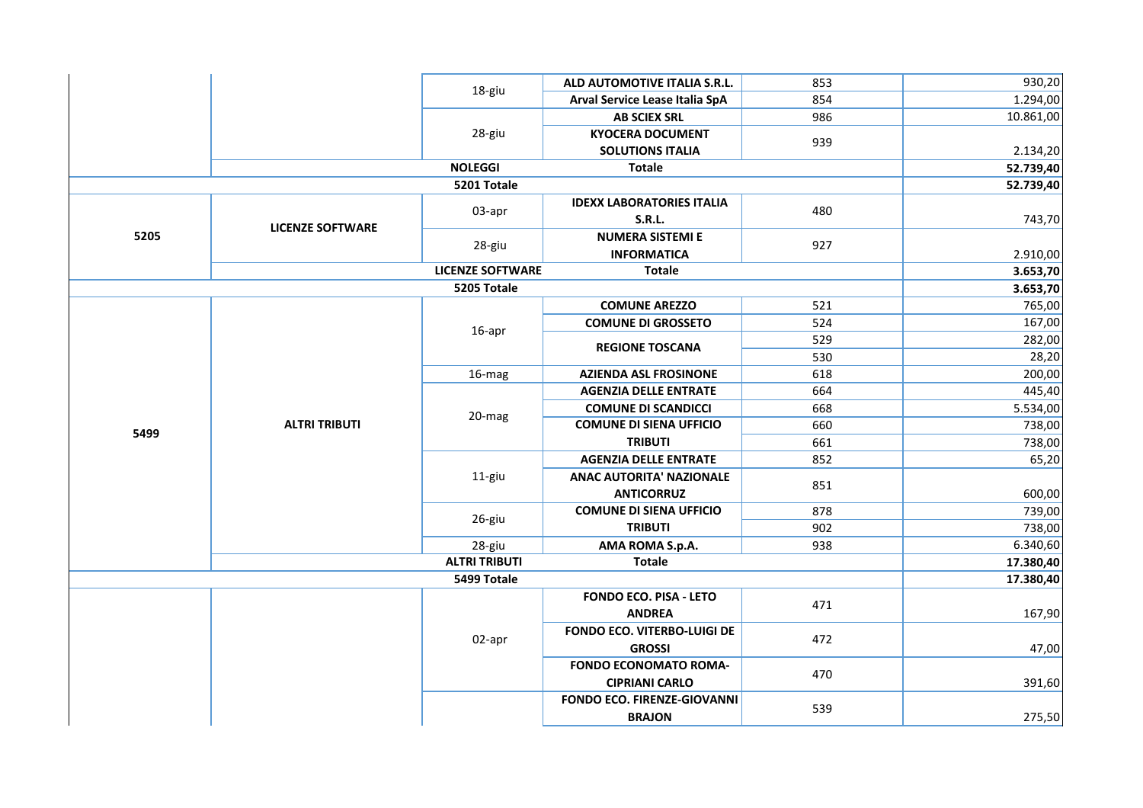|      |                         | 18-giu<br>28-giu        | ALD AUTOMOTIVE ITALIA S.R.L.       | 853 | 930,20    |
|------|-------------------------|-------------------------|------------------------------------|-----|-----------|
|      |                         |                         | Arval Service Lease Italia SpA     | 854 | 1.294,00  |
|      |                         |                         | <b>AB SCIEX SRL</b>                | 986 | 10.861,00 |
|      |                         |                         | <b>KYOCERA DOCUMENT</b>            | 939 |           |
|      |                         |                         | <b>SOLUTIONS ITALIA</b>            |     | 2.134,20  |
|      |                         | <b>NOLEGGI</b>          | <b>Totale</b>                      |     | 52.739,40 |
|      |                         | 5201 Totale             |                                    |     | 52.739,40 |
|      |                         |                         | <b>IDEXX LABORATORIES ITALIA</b>   | 480 |           |
|      | <b>LICENZE SOFTWARE</b> | 03-apr                  | <b>S.R.L.</b>                      |     | 743,70    |
| 5205 |                         |                         | <b>NUMERA SISTEMI E</b>            | 927 |           |
|      |                         | 28-giu                  | <b>INFORMATICA</b>                 |     | 2.910,00  |
|      |                         | <b>LICENZE SOFTWARE</b> | <b>Totale</b>                      |     | 3.653,70  |
|      |                         | 5205 Totale             |                                    |     | 3.653,70  |
|      |                         |                         | <b>COMUNE AREZZO</b>               | 521 | 765,00    |
|      |                         | 16-apr                  | <b>COMUNE DI GROSSETO</b>          | 524 | 167,00    |
|      |                         |                         | <b>REGIONE TOSCANA</b>             | 529 | 282,00    |
|      |                         |                         |                                    | 530 | 28,20     |
|      | <b>ALTRI TRIBUTI</b>    | 16-mag                  | <b>AZIENDA ASL FROSINONE</b>       | 618 | 200,00    |
|      |                         |                         | <b>AGENZIA DELLE ENTRATE</b>       | 664 | 445,40    |
|      |                         | 20-mag                  | <b>COMUNE DI SCANDICCI</b>         | 668 | 5.534,00  |
| 5499 |                         |                         | <b>COMUNE DI SIENA UFFICIO</b>     | 660 | 738,00    |
|      |                         |                         | <b>TRIBUTI</b>                     | 661 | 738,00    |
|      |                         |                         | <b>AGENZIA DELLE ENTRATE</b>       | 852 | 65,20     |
|      |                         | 11-giu                  | <b>ANAC AUTORITA' NAZIONALE</b>    | 851 |           |
|      |                         |                         | <b>ANTICORRUZ</b>                  |     | 600,00    |
|      |                         | 26-giu                  | <b>COMUNE DI SIENA UFFICIO</b>     | 878 | 739,00    |
|      |                         |                         | <b>TRIBUTI</b>                     | 902 | 738,00    |
|      |                         | 28-giu                  | AMA ROMA S.p.A.                    | 938 | 6.340,60  |
|      |                         | <b>ALTRI TRIBUTI</b>    | <b>Totale</b>                      |     | 17.380,40 |
|      |                         | 5499 Totale             |                                    |     | 17.380,40 |
|      |                         |                         | <b>FONDO ECO. PISA - LETO</b>      | 471 |           |
|      |                         |                         | <b>ANDREA</b>                      |     | 167,90    |
|      |                         | 02-apr                  | <b>FONDO ECO. VITERBO-LUIGI DE</b> | 472 |           |
|      |                         |                         | <b>GROSSI</b>                      |     | 47,00     |
|      |                         |                         | <b>FONDO ECONOMATO ROMA-</b>       | 470 |           |
|      |                         |                         | <b>CIPRIANI CARLO</b>              |     | 391,60    |
|      |                         |                         | <b>FONDO ECO. FIRENZE-GIOVANNI</b> | 539 |           |
|      |                         |                         | <b>BRAJON</b>                      |     | 275,50    |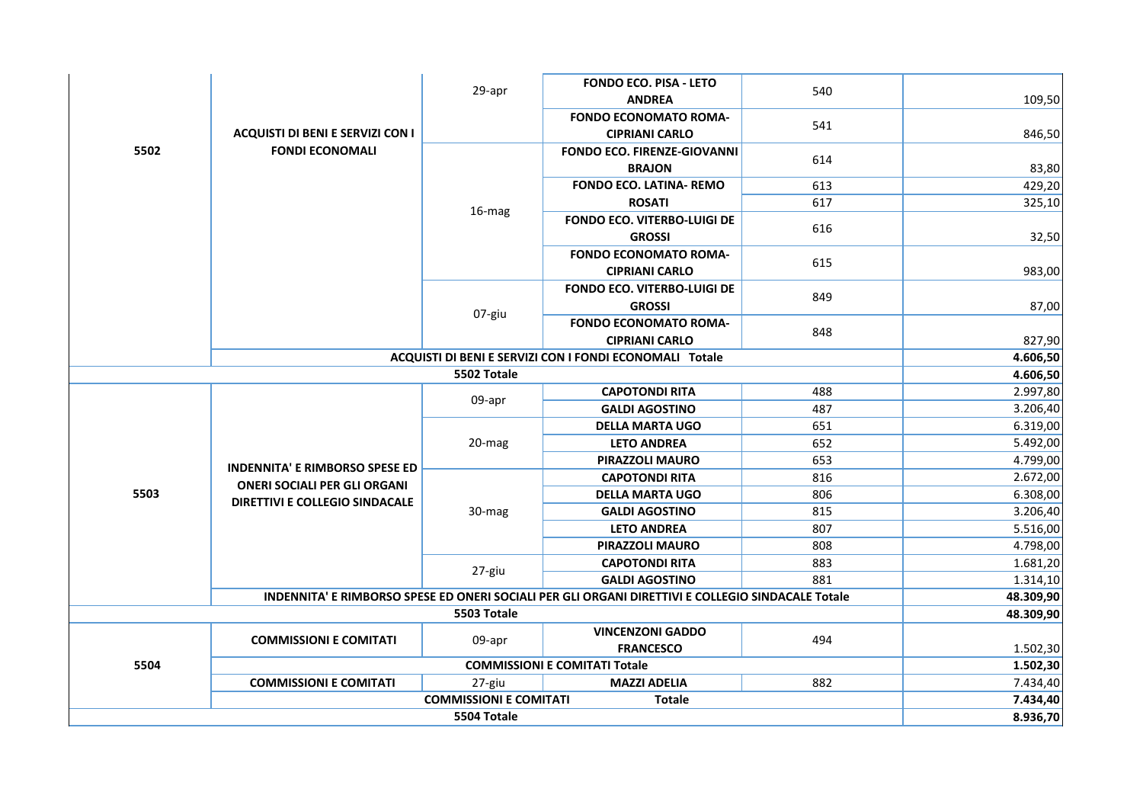|             |                                                                                                                       | 29-apr                                  | <b>FONDO ECO. PISA - LETO</b>                                                                     | 540 |           |
|-------------|-----------------------------------------------------------------------------------------------------------------------|-----------------------------------------|---------------------------------------------------------------------------------------------------|-----|-----------|
|             |                                                                                                                       |                                         | <b>ANDREA</b>                                                                                     |     | 109,50    |
|             |                                                                                                                       |                                         | <b>FONDO ECONOMATO ROMA-</b>                                                                      | 541 |           |
|             | <b>ACQUISTI DI BENI E SERVIZI CON I</b>                                                                               |                                         | <b>CIPRIANI CARLO</b>                                                                             |     | 846,50    |
| 5502        | <b>FONDI ECONOMALI</b>                                                                                                |                                         | <b>FONDO ECO. FIRENZE-GIOVANNI</b>                                                                | 614 |           |
|             |                                                                                                                       |                                         | <b>BRAJON</b>                                                                                     |     | 83,80     |
|             |                                                                                                                       |                                         | <b>FONDO ECO. LATINA- REMO</b>                                                                    | 613 | 429,20    |
|             |                                                                                                                       | 16-mag                                  | <b>ROSATI</b>                                                                                     | 617 | 325,10    |
|             |                                                                                                                       |                                         | <b>FONDO ECO. VITERBO-LUIGI DE</b>                                                                | 616 |           |
|             |                                                                                                                       |                                         | <b>GROSSI</b>                                                                                     |     | 32,50     |
|             |                                                                                                                       |                                         | <b>FONDO ECONOMATO ROMA-</b>                                                                      | 615 |           |
|             |                                                                                                                       |                                         | <b>CIPRIANI CARLO</b>                                                                             |     | 983,00    |
|             |                                                                                                                       |                                         | <b>FONDO ECO. VITERBO-LUIGI DE</b>                                                                | 849 |           |
|             |                                                                                                                       | 07-giu                                  | <b>GROSSI</b>                                                                                     |     | 87,00     |
|             |                                                                                                                       |                                         | <b>FONDO ECONOMATO ROMA-</b>                                                                      | 848 |           |
|             |                                                                                                                       |                                         | <b>CIPRIANI CARLO</b>                                                                             |     | 827,90    |
|             |                                                                                                                       |                                         | ACQUISTI DI BENI E SERVIZI CON I FONDI ECONOMALI Totale                                           |     | 4.606,50  |
|             |                                                                                                                       | 5502 Totale                             |                                                                                                   |     | 4.606,50  |
|             |                                                                                                                       | 09-apr                                  | <b>CAPOTONDI RITA</b>                                                                             | 488 | 2.997,80  |
|             | <b>INDENNITA' E RIMBORSO SPESE ED</b><br><b>ONERI SOCIALI PER GLI ORGANI</b><br><b>DIRETTIVI E COLLEGIO SINDACALE</b> |                                         | <b>GALDI AGOSTINO</b>                                                                             | 487 | 3.206,40  |
|             |                                                                                                                       |                                         | <b>DELLA MARTA UGO</b>                                                                            | 651 | 6.319,00  |
|             |                                                                                                                       | 20-mag                                  | <b>LETO ANDREA</b>                                                                                | 652 | 5.492,00  |
|             |                                                                                                                       |                                         | PIRAZZOLI MAURO                                                                                   | 653 | 4.799,00  |
|             |                                                                                                                       |                                         | <b>CAPOTONDI RITA</b>                                                                             | 816 | 2.672,00  |
| 5503        |                                                                                                                       |                                         | <b>DELLA MARTA UGO</b>                                                                            | 806 | 6.308,00  |
|             |                                                                                                                       | 30-mag                                  | <b>GALDI AGOSTINO</b>                                                                             | 815 | 3.206,40  |
|             |                                                                                                                       |                                         | <b>LETO ANDREA</b>                                                                                | 807 | 5.516,00  |
|             |                                                                                                                       |                                         | PIRAZZOLI MAURO                                                                                   | 808 | 4.798,00  |
|             |                                                                                                                       | 27-giu                                  | <b>CAPOTONDI RITA</b>                                                                             | 883 | 1.681,20  |
|             |                                                                                                                       |                                         | <b>GALDI AGOSTINO</b>                                                                             | 881 | 1.314,10  |
|             |                                                                                                                       |                                         | INDENNITA' E RIMBORSO SPESE ED ONERI SOCIALI PER GLI ORGANI DIRETTIVI E COLLEGIO SINDACALE Totale |     | 48.309,90 |
|             |                                                                                                                       | 5503 Totale                             |                                                                                                   |     | 48.309,90 |
|             | <b>COMMISSIONI E COMITATI</b>                                                                                         | 09-apr                                  | <b>VINCENZONI GADDO</b>                                                                           | 494 |           |
|             |                                                                                                                       | <b>FRANCESCO</b>                        |                                                                                                   |     | 1.502,30  |
| 5504        |                                                                                                                       |                                         | <b>COMMISSIONI E COMITATI Totale</b>                                                              |     | 1.502,30  |
|             | <b>COMMISSIONI E COMITATI</b>                                                                                         | 27-giu<br><b>COMMISSIONI E COMITATI</b> | <b>MAZZI ADELIA</b><br><b>Totale</b>                                                              | 882 | 7.434,40  |
|             |                                                                                                                       | 7.434,40                                |                                                                                                   |     |           |
| 5504 Totale |                                                                                                                       |                                         |                                                                                                   |     | 8.936,70  |